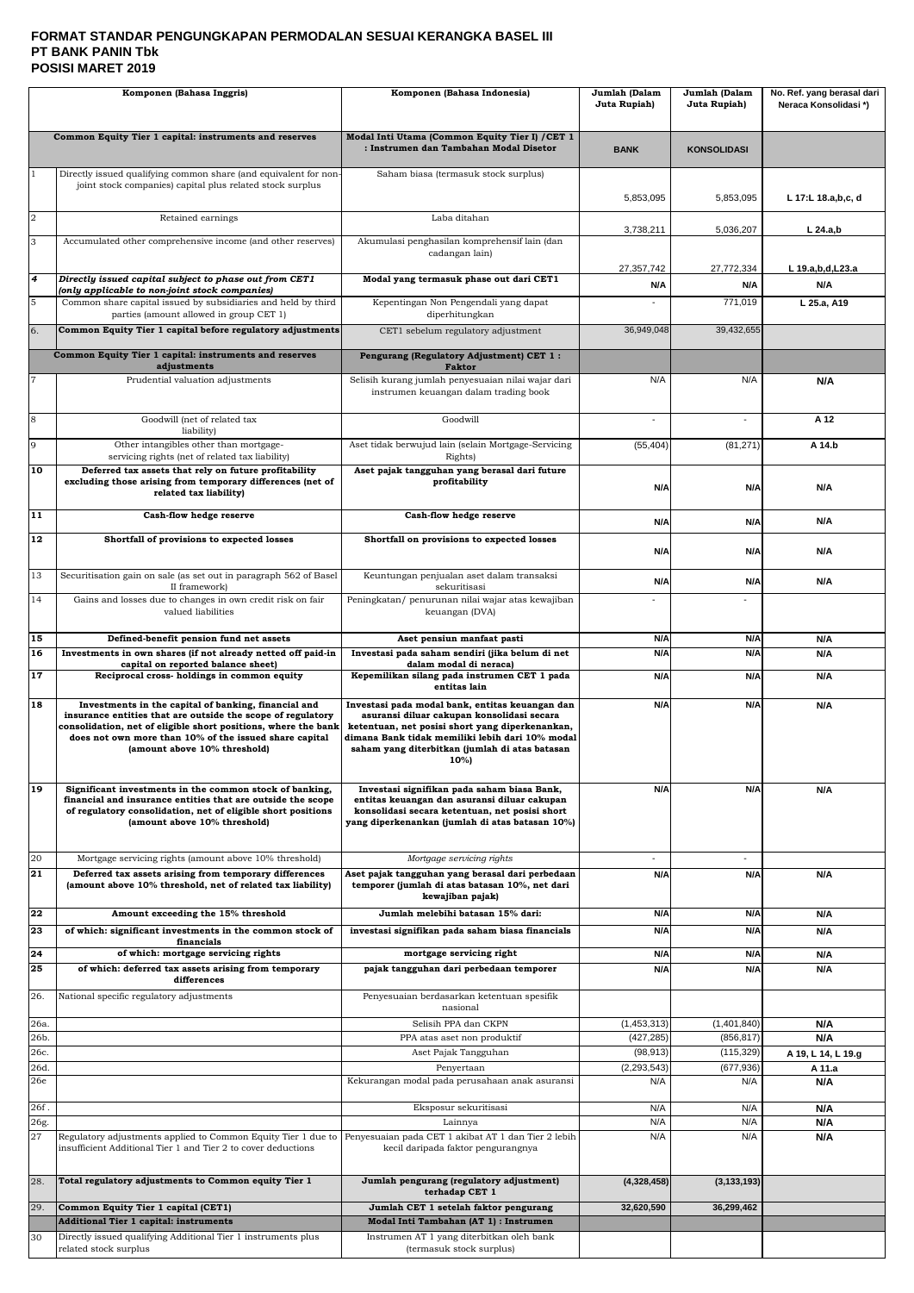### **FORMAT STANDAR PENGUNGKAPAN PERMODALAN SESUAI KERANGKA BASEL III PT BANK PANIN Tbk POSISI MARET 2019**

|                | Komponen (Bahasa Inggris)                                                                                                                                                                                                                                                       | Komponen (Bahasa Indonesia)                                                                                                                                                                                                                                   | Jumlah (Dalam<br>Juta Rupiah) | Jumlah (Dalam<br>Juta Rupiah)   | No. Ref. yang berasal dari<br>Neraca Konsolidasi*) |
|----------------|---------------------------------------------------------------------------------------------------------------------------------------------------------------------------------------------------------------------------------------------------------------------------------|---------------------------------------------------------------------------------------------------------------------------------------------------------------------------------------------------------------------------------------------------------------|-------------------------------|---------------------------------|----------------------------------------------------|
|                | Common Equity Tier 1 capital: instruments and reserves                                                                                                                                                                                                                          | Modal Inti Utama (Common Equity Tier I) / CET 1                                                                                                                                                                                                               |                               |                                 |                                                    |
|                |                                                                                                                                                                                                                                                                                 | : Instrumen dan Tambahan Modal Disetor                                                                                                                                                                                                                        | <b>BANK</b>                   | <b>KONSOLIDASI</b>              |                                                    |
|                | Directly issued qualifying common share (and equivalent for non-<br>joint stock companies) capital plus related stock surplus                                                                                                                                                   | Saham biasa (termasuk stock surplus)                                                                                                                                                                                                                          |                               |                                 |                                                    |
|                |                                                                                                                                                                                                                                                                                 |                                                                                                                                                                                                                                                               | 5,853,095                     | 5,853,095                       | L 17:L 18.a,b,c, d                                 |
| $\overline{2}$ | Retained earnings                                                                                                                                                                                                                                                               | Laba ditahan                                                                                                                                                                                                                                                  | 3,738,211                     | 5,036,207                       | $L$ 24.a,b                                         |
| 3              | Accumulated other comprehensive income (and other reserves)                                                                                                                                                                                                                     | Akumulasi penghasilan komprehensif lain (dan<br>cadangan lain)                                                                                                                                                                                                |                               |                                 |                                                    |
| 4              | Directly issued capital subject to phase out from CET1                                                                                                                                                                                                                          | Modal yang termasuk phase out dari CET1                                                                                                                                                                                                                       | 27,357,742<br>N/A             | 27.772.334<br>N/A               | L 19.a,b,d,L23.a<br>N/A                            |
| 5              | (only applicable to non-joint stock companies)<br>Common share capital issued by subsidiaries and held by third                                                                                                                                                                 | Kepentingan Non Pengendali yang dapat                                                                                                                                                                                                                         |                               | 771,019                         | L 25.a, A19                                        |
| 6.             | parties (amount allowed in group CET 1)<br>Common Equity Tier 1 capital before regulatory adjustments                                                                                                                                                                           | diperhitungkan<br>CET1 sebelum regulatory adjustment                                                                                                                                                                                                          | 36,949,048                    | 39,432,655                      |                                                    |
|                | Common Equity Tier 1 capital: instruments and reserves                                                                                                                                                                                                                          | Pengurang (Regulatory Adjustment) CET 1:                                                                                                                                                                                                                      |                               |                                 |                                                    |
| 7              | adjustments<br>Prudential valuation adjustments                                                                                                                                                                                                                                 | <b>Faktor</b><br>Selisih kurang jumlah penyesuaian nilai wajar dari                                                                                                                                                                                           | N/A                           | N/A                             | N/A                                                |
|                |                                                                                                                                                                                                                                                                                 | instrumen keuangan dalam trading book                                                                                                                                                                                                                         |                               |                                 |                                                    |
| 8              | Goodwill (net of related tax<br>liability)                                                                                                                                                                                                                                      | Goodwill                                                                                                                                                                                                                                                      |                               | $\blacksquare$                  | A 12                                               |
| 9              | Other intangibles other than mortgage-<br>servicing rights (net of related tax liability)                                                                                                                                                                                       | Aset tidak berwujud lain (selain Mortgage-Servicing<br>Rights)                                                                                                                                                                                                | (55, 404)                     | (81, 271)                       | A 14.b                                             |
| 10             | Deferred tax assets that rely on future profitability<br>excluding those arising from temporary differences (net of                                                                                                                                                             | Aset pajak tangguhan yang berasal dari future<br>profitability                                                                                                                                                                                                |                               |                                 |                                                    |
|                | related tax liability)                                                                                                                                                                                                                                                          |                                                                                                                                                                                                                                                               | N/A                           | N/A                             | N/A                                                |
| 11             | Cash-flow hedge reserve                                                                                                                                                                                                                                                         | Cash-flow hedge reserve                                                                                                                                                                                                                                       | N/A                           | N/A                             | N/A                                                |
| 12             | Shortfall of provisions to expected losses                                                                                                                                                                                                                                      | Shortfall on provisions to expected losses                                                                                                                                                                                                                    | N/A                           | N/A                             | N/A                                                |
| 13             | Securitisation gain on sale (as set out in paragraph 562 of Basel<br>II framework)                                                                                                                                                                                              | Keuntungan penjualan aset dalam transaksi<br>sekuritisasi                                                                                                                                                                                                     | N/A                           | N/A                             | N/A                                                |
| 14             | Gains and losses due to changes in own credit risk on fair<br>valued liabilities                                                                                                                                                                                                | Peningkatan/ penurunan nilai wajar atas kewajiban<br>keuangan (DVA)                                                                                                                                                                                           |                               |                                 |                                                    |
| 15             | Defined-benefit pension fund net assets                                                                                                                                                                                                                                         | Aset pensiun manfaat pasti                                                                                                                                                                                                                                    | N/A                           | N/A                             | N/A                                                |
| 16             | Investments in own shares (if not already netted off paid-in<br>capital on reported balance sheet)                                                                                                                                                                              | Investasi pada saham sendiri (jika belum di net<br>dalam modal di neraca)                                                                                                                                                                                     | N/A                           | N/A                             | N/A                                                |
| 17             | Reciprocal cross-holdings in common equity                                                                                                                                                                                                                                      | Kepemilikan silang pada instrumen CET 1 pada<br>entitas lain                                                                                                                                                                                                  | N/A                           | N/A                             | N/A                                                |
| 18             | Investments in the capital of banking, financial and<br>insurance entities that are outside the scope of regulatory<br>consolidation, net of eligible short positions, where the bank<br>does not own more than 10% of the issued share capital<br>(amount above 10% threshold) | Investasi pada modal bank, entitas keuangan dan<br>asuransi diluar cakupan konsolidasi secara<br>ketentuan, net posisi short yang diperkenankan,<br>dimana Bank tidak memiliki lebih dari 10% modal<br>saham yang diterbitkan (jumlah di atas batasan<br>10%) | N/A                           | N/A                             | N/A                                                |
| 19             | Significant investments in the common stock of banking,<br>financial and insurance entities that are outside the scope<br>of regulatory consolidation, net of eligible short positions<br>(amount above 10% threshold)                                                          | Investasi signifikan pada saham biasa Bank,<br>entitas keuangan dan asuransi diluar cakupan<br>konsolidasi secara ketentuan, net posisi short<br>yang diperkenankan (jumlah di atas batasan 10%)                                                              | N/A                           | N/A                             | N/A                                                |
| 20<br>21       | Mortgage servicing rights (amount above 10% threshold)<br>Deferred tax assets arising from temporary differences                                                                                                                                                                | Mortgage servicing rights<br>Aset pajak tangguhan yang berasal dari perbedaan                                                                                                                                                                                 | $\blacksquare$<br>N/A         | $\overline{\phantom{a}}$<br>N/A | N/A                                                |
|                | (amount above 10% threshold, net of related tax liability)                                                                                                                                                                                                                      | temporer (jumlah di atas batasan 10%, net dari<br>kewajiban pajak)                                                                                                                                                                                            |                               |                                 |                                                    |
| 22<br>23       | Amount exceeding the 15% threshold<br>of which: significant investments in the common stock of                                                                                                                                                                                  | Jumlah melebihi batasan 15% dari:<br>investasi signifikan pada saham biasa financials                                                                                                                                                                         | N/A<br>N/A                    | N/A<br>N/A                      | N/A<br>N/A                                         |
| 24             | financials<br>of which: mortgage servicing rights                                                                                                                                                                                                                               | mortgage servicing right                                                                                                                                                                                                                                      | N/A                           | N/A                             | N/A                                                |
| 25             | of which: deferred tax assets arising from temporary<br>differences                                                                                                                                                                                                             | pajak tangguhan dari perbedaan temporer                                                                                                                                                                                                                       | N/A                           | N/A                             | N/A                                                |
| 26.            | National specific regulatory adjustments                                                                                                                                                                                                                                        | Penyesuaian berdasarkan ketentuan spesifik                                                                                                                                                                                                                    |                               |                                 |                                                    |
| 26a.           |                                                                                                                                                                                                                                                                                 | nasional<br>Selisih PPA dan CKPN                                                                                                                                                                                                                              | (1,453,313)                   | (1,401,840)                     | N/A                                                |
| 26b.           |                                                                                                                                                                                                                                                                                 | PPA atas aset non produktif                                                                                                                                                                                                                                   | (427, 285)                    | (856, 817)                      | N/A                                                |
| 26с.           |                                                                                                                                                                                                                                                                                 | Aset Pajak Tangguhan                                                                                                                                                                                                                                          | (98, 913)                     | (115, 329)                      | A 19, L 14, L 19.g                                 |
| 26d.           |                                                                                                                                                                                                                                                                                 | Penyertaan                                                                                                                                                                                                                                                    | (2, 293, 543)                 | (677, 936)                      | A 11.a                                             |
| 26e            |                                                                                                                                                                                                                                                                                 | Kekurangan modal pada perusahaan anak asuransi                                                                                                                                                                                                                | N/A                           | N/A                             | N/A                                                |
| 26f.<br>26g.   |                                                                                                                                                                                                                                                                                 | Eksposur sekuritisasi<br>Lainnya                                                                                                                                                                                                                              | N/A<br>N/A                    | N/A<br>N/A                      | N/A<br>N/A                                         |
| 27             | Regulatory adjustments applied to Common Equity Tier 1 due to<br>insufficient Additional Tier 1 and Tier 2 to cover deductions                                                                                                                                                  | Penyesuaian pada CET 1 akibat AT 1 dan Tier 2 lebih<br>kecil daripada faktor pengurangnya                                                                                                                                                                     | N/A                           | N/A                             | N/A                                                |
| 28.            | Total regulatory adjustments to Common equity Tier 1                                                                                                                                                                                                                            | Jumlah pengurang (regulatory adjustment)<br>terhadap CET 1                                                                                                                                                                                                    | (4,328,458)                   | (3, 133, 193)                   |                                                    |
| 29.            | Common Equity Tier 1 capital (CET1)                                                                                                                                                                                                                                             | Jumlah CET 1 setelah faktor pengurang                                                                                                                                                                                                                         | 32,620,590                    | 36,299,462                      |                                                    |
| 30             | <b>Additional Tier 1 capital: instruments</b><br>Directly issued qualifying Additional Tier 1 instruments plus                                                                                                                                                                  | Modal Inti Tambahan (AT 1) : Instrumen<br>Instrumen AT 1 yang diterbitkan oleh bank                                                                                                                                                                           |                               |                                 |                                                    |
|                | related stock surplus                                                                                                                                                                                                                                                           | (termasuk stock surplus)                                                                                                                                                                                                                                      |                               |                                 |                                                    |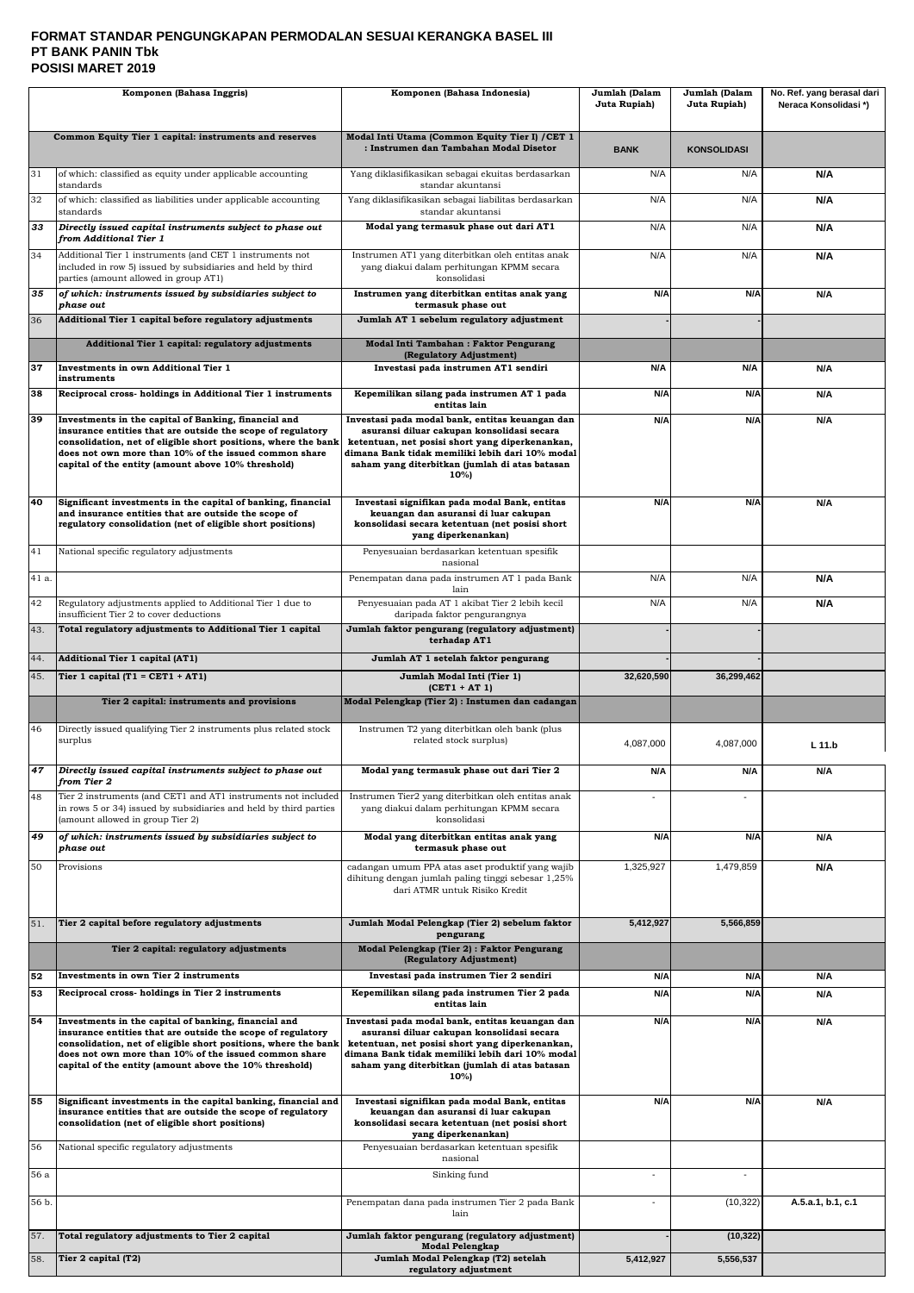### **FORMAT STANDAR PENGUNGKAPAN PERMODALAN SESUAI KERANGKA BASEL III PT BANK PANIN Tbk POSISI MARET 2019**

| Komponen (Bahasa Inggris) |                                                                                                                                                                                                                                                  | Komponen (Bahasa Indonesia)                                                                                                                                                                                | Jumlah (Dalam<br>Juta Rupiah) | Jumlah (Dalam<br>Juta Rupiah) | No. Ref. yang berasal dari<br>Neraca Konsolidasi*) |
|---------------------------|--------------------------------------------------------------------------------------------------------------------------------------------------------------------------------------------------------------------------------------------------|------------------------------------------------------------------------------------------------------------------------------------------------------------------------------------------------------------|-------------------------------|-------------------------------|----------------------------------------------------|
|                           |                                                                                                                                                                                                                                                  |                                                                                                                                                                                                            |                               |                               |                                                    |
|                           | Common Equity Tier 1 capital: instruments and reserves                                                                                                                                                                                           | Modal Inti Utama (Common Equity Tier I) / CET 1<br>: Instrumen dan Tambahan Modal Disetor                                                                                                                  | <b>BANK</b>                   | <b>KONSOLIDASI</b>            |                                                    |
| 31                        | of which: classified as equity under applicable accounting<br>standards                                                                                                                                                                          | Yang diklasifikasikan sebagai ekuitas berdasarkan<br>standar akuntansi                                                                                                                                     | N/A                           | N/A                           | N/A                                                |
| 32                        | of which: classified as liabilities under applicable accounting<br>standards                                                                                                                                                                     | Yang diklasifikasikan sebagai liabilitas berdasarkan<br>standar akuntansi                                                                                                                                  | N/A                           | N/A                           | N/A                                                |
| 33                        | Directly issued capital instruments subject to phase out<br>from Additional Tier 1                                                                                                                                                               | Modal yang termasuk phase out dari AT1                                                                                                                                                                     | N/A                           | N/A                           | N/A                                                |
| 34                        | Additional Tier 1 instruments (and CET 1 instruments not<br>included in row 5) issued by subsidiaries and held by third<br>parties (amount allowed in group AT1)                                                                                 | Instrumen AT1 yang diterbitkan oleh entitas anak<br>yang diakui dalam perhitungan KPMM secara<br>konsolidasi                                                                                               | N/A                           | N/A                           | N/A                                                |
| 35                        | of which: instruments issued by subsidiaries subject to                                                                                                                                                                                          | Instrumen yang diterbitkan entitas anak yang                                                                                                                                                               | N/A                           | N/A                           | N/A                                                |
| 36                        | phase out<br>Additional Tier 1 capital before regulatory adjustments                                                                                                                                                                             | termasuk phase out<br>Jumlah AT 1 sebelum regulatory adjustment                                                                                                                                            |                               |                               |                                                    |
|                           | Additional Tier 1 capital: regulatory adjustments                                                                                                                                                                                                | <b>Modal Inti Tambahan: Faktor Pengurang</b>                                                                                                                                                               |                               |                               |                                                    |
| 37                        | <b>Investments in own Additional Tier 1</b>                                                                                                                                                                                                      | (Regulatory Adjustment)<br>Investasi pada instrumen AT1 sendiri                                                                                                                                            | N/A                           | N/A                           | N/A                                                |
| 38                        | instruments<br>Reciprocal cross-holdings in Additional Tier 1 instruments                                                                                                                                                                        | Kepemilikan silang pada instrumen AT 1 pada                                                                                                                                                                | N/A                           | N/A                           | N/A                                                |
| 39                        | Investments in the capital of Banking, financial and                                                                                                                                                                                             | entitas lain<br>Investasi pada modal bank, entitas keuangan dan                                                                                                                                            | N/A                           | N/A                           | N/A                                                |
|                           | insurance entities that are outside the scope of regulatory<br>consolidation, net of eligible short positions, where the bank                                                                                                                    | asuransi diluar cakupan konsolidasi secara<br>ketentuan, net posisi short yang diperkenankan,                                                                                                              |                               |                               |                                                    |
|                           | does not own more than 10% of the issued common share<br>capital of the entity (amount above 10% threshold)                                                                                                                                      | dimana Bank tidak memiliki lebih dari 10% modal<br>saham yang diterbitkan (jumlah di atas batasan<br>10%)                                                                                                  |                               |                               |                                                    |
| 40                        | Significant investments in the capital of banking, financial<br>and insurance entities that are outside the scope of<br>regulatory consolidation (net of eligible short positions)                                                               | Investasi signifikan pada modal Bank, entitas<br>keuangan dan asuransi di luar cakupan<br>konsolidasi secara ketentuan (net posisi short<br>yang diperkenankan)                                            | N/A                           | N/A                           | N/A                                                |
| 41                        | National specific regulatory adjustments                                                                                                                                                                                                         | Penyesuaian berdasarkan ketentuan spesifik<br>nasional                                                                                                                                                     |                               |                               |                                                    |
| 41 a.                     |                                                                                                                                                                                                                                                  | Penempatan dana pada instrumen AT 1 pada Bank                                                                                                                                                              | N/A                           | N/A                           | N/A                                                |
| 42                        | Regulatory adjustments applied to Additional Tier 1 due to                                                                                                                                                                                       | lain<br>Penyesuaian pada AT 1 akibat Tier 2 lebih kecil                                                                                                                                                    | N/A                           | N/A                           | N/A                                                |
| 43.                       | insufficient Tier 2 to cover deductions<br>Total regulatory adjustments to Additional Tier 1 capital                                                                                                                                             | daripada faktor pengurangnya<br>Jumlah faktor pengurang (regulatory adjustment)                                                                                                                            |                               |                               |                                                    |
|                           |                                                                                                                                                                                                                                                  | terhadap AT1                                                                                                                                                                                               |                               |                               |                                                    |
| 44.<br>45.                | <b>Additional Tier 1 capital (AT1)</b><br>Tier 1 capital $(T1 = CET1 + AT1)$                                                                                                                                                                     | Jumlah AT 1 setelah faktor pengurang<br>Jumlah Modal Inti (Tier 1)                                                                                                                                         | 32,620,590                    | 36,299,462                    |                                                    |
|                           | Tier 2 capital: instruments and provisions                                                                                                                                                                                                       | $(CET1 + AT1)$<br>Modal Pelengkap (Tier 2) : Instumen dan cadangan                                                                                                                                         |                               |                               |                                                    |
|                           |                                                                                                                                                                                                                                                  |                                                                                                                                                                                                            |                               |                               |                                                    |
| 46                        | Directly issued qualifying Tier 2 instruments plus related stock<br>surplus                                                                                                                                                                      | Instrumen T2 yang diterbitkan oleh bank (plus<br>related stock surplus)                                                                                                                                    | 4,087,000                     | 4,087,000                     | L 11.b                                             |
|                           | 47 Directly issued capital instruments subject to phase out<br>from Tier 2                                                                                                                                                                       | Modal yang termasuk phase out dari Tier 2                                                                                                                                                                  | N/A                           | N/A                           | N/A                                                |
| 48                        | Tier 2 instruments (and CET1 and AT1 instruments not included<br>in rows 5 or 34) issued by subsidiaries and held by third parties<br>(amount allowed in group Tier 2)                                                                           | Instrumen Tier2 yang diterbitkan oleh entitas anak<br>yang diakui dalam perhitungan KPMM secara<br>konsolidasi                                                                                             |                               | $\sim$                        |                                                    |
| 49                        | of which: instruments issued by subsidiaries subject to<br>phase out                                                                                                                                                                             | Modal yang diterbitkan entitas anak yang<br>termasuk phase out                                                                                                                                             | N/A                           | N/A                           | N/A                                                |
| 50                        | Provisions                                                                                                                                                                                                                                       | cadangan umum PPA atas aset produktif yang wajib<br>dihitung dengan jumlah paling tinggi sebesar 1,25%<br>dari ATMR untuk Risiko Kredit                                                                    | 1,325,927                     | 1,479,859                     | N/A                                                |
| 51.                       | Tier 2 capital before regulatory adjustments                                                                                                                                                                                                     | Jumlah Modal Pelengkap (Tier 2) sebelum faktor<br>pengurang                                                                                                                                                | 5,412,927                     | 5,566,859                     |                                                    |
|                           | Tier 2 capital: regulatory adjustments                                                                                                                                                                                                           | Modal Pelengkap (Tier 2) : Faktor Pengurang<br>(Regulatory Adjustment)                                                                                                                                     |                               |                               |                                                    |
| 52                        | Investments in own Tier 2 instruments                                                                                                                                                                                                            | Investasi pada instrumen Tier 2 sendiri                                                                                                                                                                    | N/A                           | N/A                           | N/A                                                |
| 53                        | Reciprocal cross-holdings in Tier 2 instruments                                                                                                                                                                                                  | Kepemilikan silang pada instrumen Tier 2 pada<br>entitas lain                                                                                                                                              | N/A                           | N/A                           | N/A                                                |
| 54                        | Investments in the capital of banking, financial and                                                                                                                                                                                             | Investasi pada modal bank, entitas keuangan dan                                                                                                                                                            | N/A                           | N/A                           | N/A                                                |
|                           | insurance entities that are outside the scope of regulatory<br>consolidation, net of eligible short positions, where the bank<br>does not own more than 10% of the issued common share<br>capital of the entity (amount above the 10% threshold) | asuransi diluar cakupan konsolidasi secara<br>ketentuan, net posisi short yang diperkenankan,<br>dimana Bank tidak memiliki lebih dari 10% modal<br>saham yang diterbitkan (jumlah di atas batasan<br>10%) |                               |                               |                                                    |
| 55                        | Significant investments in the capital banking, financial and<br>insurance entities that are outside the scope of regulatory<br>consolidation (net of eligible short positions)                                                                  | Investasi signifikan pada modal Bank, entitas<br>keuangan dan asuransi di luar cakupan<br>konsolidasi secara ketentuan (net posisi short<br>yang diperkenankan)                                            | N/A                           | N/A                           | N/A                                                |
| 56                        | National specific regulatory adjustments                                                                                                                                                                                                         | Penyesuaian berdasarkan ketentuan spesifik<br>nasional                                                                                                                                                     |                               |                               |                                                    |
| 56 a                      |                                                                                                                                                                                                                                                  | Sinking fund                                                                                                                                                                                               |                               |                               |                                                    |
| 56 b.                     |                                                                                                                                                                                                                                                  | Penempatan dana pada instrumen Tier 2 pada Bank<br>lain                                                                                                                                                    |                               | (10, 322)                     | A.5.a.1, b.1, c.1                                  |
| 57.                       | Total regulatory adjustments to Tier 2 capital                                                                                                                                                                                                   | Jumlah faktor pengurang (regulatory adjustment)<br><b>Modal Pelengkap</b>                                                                                                                                  |                               | (10, 322)                     |                                                    |
| 58.                       | Tier 2 capital (T2)                                                                                                                                                                                                                              | Jumlah Modal Pelengkap (T2) setelah<br>regulatory adjustment                                                                                                                                               | 5,412,927                     | 5,556,537                     |                                                    |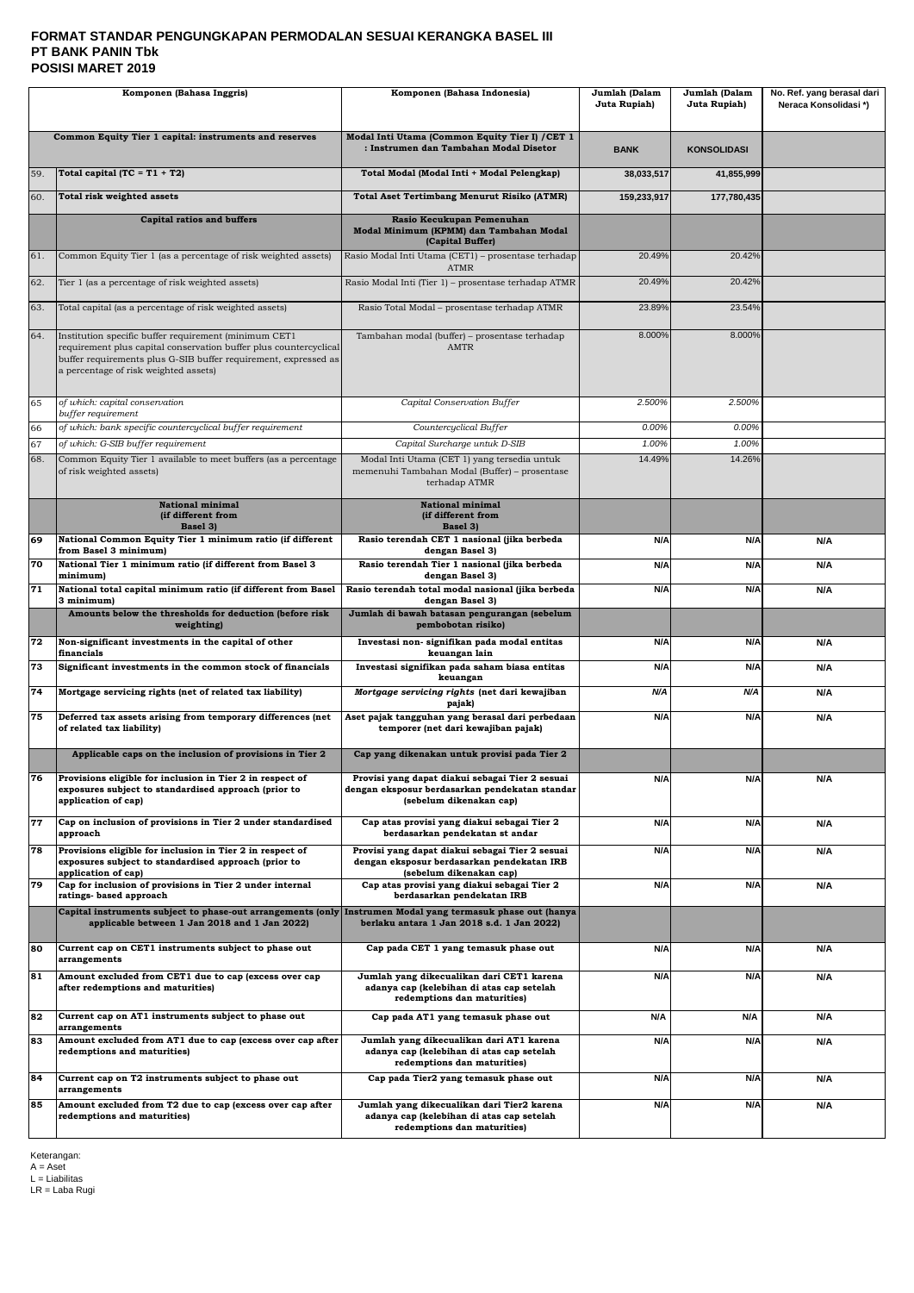### **FORMAT STANDAR PENGUNGKAPAN PERMODALAN SESUAI KERANGKA BASEL III PT BANK PANIN Tbk POSISI MARET 2019**

|           | Komponen (Bahasa Inggris)                                                                                                                                                                                                              | Komponen (Bahasa Indonesia)                                                                                                  |                 | Jumlah (Dalam<br>Juta Rupiah) | No. Ref. yang berasal dari<br>Neraca Konsolidasi*) |
|-----------|----------------------------------------------------------------------------------------------------------------------------------------------------------------------------------------------------------------------------------------|------------------------------------------------------------------------------------------------------------------------------|-----------------|-------------------------------|----------------------------------------------------|
|           | Common Equity Tier 1 capital: instruments and reserves                                                                                                                                                                                 | Modal Inti Utama (Common Equity Tier I) / CET 1<br>: Instrumen dan Tambahan Modal Disetor                                    | <b>BANK</b>     | <b>KONSOLIDASI</b>            |                                                    |
| 59.       | Total capital (TC = $T1 + T2$ )                                                                                                                                                                                                        | Total Modal (Modal Inti + Modal Pelengkap)                                                                                   | 38,033,517      | 41,855,999                    |                                                    |
| 60.       | Total risk weighted assets                                                                                                                                                                                                             | <b>Total Aset Tertimbang Menurut Risiko (ATMR)</b>                                                                           | 159,233,917     | 177,780,435                   |                                                    |
|           | <b>Capital ratios and buffers</b>                                                                                                                                                                                                      | Rasio Kecukupan Pemenuhan<br>Modal Minimum (KPMM) dan Tambahan Modal<br>(Capital Buffer)                                     |                 |                               |                                                    |
| 61.       | Common Equity Tier 1 (as a percentage of risk weighted assets)                                                                                                                                                                         | Rasio Modal Inti Utama (CET1) - prosentase terhadap<br>ATMR                                                                  | 20.49%          | 20.42%                        |                                                    |
| 62.       | Tier 1 (as a percentage of risk weighted assets)                                                                                                                                                                                       | Rasio Modal Inti (Tier 1) – prosentase terhadap ATMR                                                                         | 20.49%          | 20.42%                        |                                                    |
| 63.       | Total capital (as a percentage of risk weighted assets)                                                                                                                                                                                | Rasio Total Modal - prosentase terhadap ATMR                                                                                 | 23.89%          | 23.54%                        |                                                    |
| 64.       | Institution specific buffer requirement (minimum CET1<br>requirement plus capital conservation buffer plus countercyclical<br>buffer requirements plus G-SIB buffer requirement, expressed as<br>a percentage of risk weighted assets) | Tambahan modal (buffer) - prosentase terhadap<br><b>AMTR</b>                                                                 | 8.000%          | 8.000%                        |                                                    |
| 65        | of which: capital conservation<br>buffer requirement                                                                                                                                                                                   | Capital Conservation Buffer                                                                                                  | 2.500%          | 2.500%                        |                                                    |
| 66        | of which: bank specific countercyclical buffer requirement                                                                                                                                                                             | Countercyclical Buffer                                                                                                       | 0.00%           | 0.00%                         |                                                    |
| 67<br>68. | of which: G-SIB buffer requirement<br>Common Equity Tier 1 available to meet buffers (as a percentage                                                                                                                                  | Capital Surcharge untuk D-SIB<br>Modal Inti Utama (CET 1) yang tersedia untuk                                                | 1.00%<br>14.49% | 1.00%<br>14.26%               |                                                    |
|           | of risk weighted assets)                                                                                                                                                                                                               | memenuhi Tambahan Modal (Buffer) - prosentase<br>terhadap ATMR                                                               |                 |                               |                                                    |
|           | <b>National minimal</b><br>(if different from<br>Basel 3)                                                                                                                                                                              | <b>National minimal</b><br>(if different from<br>Basel 3)                                                                    |                 |                               |                                                    |
| 69        | National Common Equity Tier 1 minimum ratio (if different<br>from Basel 3 minimum)                                                                                                                                                     | Rasio terendah CET 1 nasional (jika berbeda<br>dengan Basel 3)                                                               | N/A             | N/A                           | N/A                                                |
| 70        | National Tier 1 minimum ratio (if different from Basel 3<br>minimum)                                                                                                                                                                   | Rasio terendah Tier 1 nasional (jika berbeda<br>dengan Basel 3)                                                              | N/A             | N/A                           | N/A                                                |
| 71        | National total capital minimum ratio (if different from Basel<br>3 minimum)                                                                                                                                                            | Rasio terendah total modal nasional (jika berbeda<br>dengan Basel 3)                                                         | N/A             | N/A                           | N/A                                                |
|           | Amounts below the thresholds for deduction (before risk<br>weighting)                                                                                                                                                                  | Jumlah di bawah batasan pengurangan (sebelum<br>pembobotan risiko)                                                           |                 |                               |                                                    |
| 72        | Non-significant investments in the capital of other<br>financials                                                                                                                                                                      | Investasi non- signifikan pada modal entitas<br>keuangan lain                                                                | N/A             | N/A                           | N/A                                                |
| 73        | Significant investments in the common stock of financials                                                                                                                                                                              | Investasi signifikan pada saham biasa entitas<br>keuangan                                                                    | N/A             | N/A                           | N/A                                                |
| 74        | Mortgage servicing rights (net of related tax liability)                                                                                                                                                                               | Mortgage servicing rights (net dari kewajiban<br>pajak)                                                                      | N/A             | N/A                           | N/A                                                |
| 75        | Deferred tax assets arising from temporary differences (net<br>of related tax liability)                                                                                                                                               | Aset pajak tangguhan yang berasal dari perbedaan<br>temporer (net dari kewajiban pajak)                                      | N/A             | N/A                           | N/A                                                |
|           | Applicable caps on the inclusion of provisions in Tier 2                                                                                                                                                                               | Cap yang dikenakan untuk provisi pada Tier 2                                                                                 |                 |                               |                                                    |
| 76        | Provisions eligible for inclusion in Tier 2 in respect of<br>exposures subject to standardised approach (prior to<br>application of cap)                                                                                               | Provisi yang dapat diakui sebagai Tier 2 sesuai<br>dengan eksposur berdasarkan pendekatan standar<br>(sebelum dikenakan cap) | N/A             | N/A                           | N/A                                                |
| 77        | Cap on inclusion of provisions in Tier 2 under standardised<br>approach                                                                                                                                                                | Cap atas provisi yang diakui sebagai Tier 2<br>berdasarkan pendekatan st andar                                               | N/A             | N/A                           | N/A                                                |
| 78        | Provisions eligible for inclusion in Tier 2 in respect of<br>exposures subject to standardised approach (prior to<br>application of cap)                                                                                               | Provisi yang dapat diakui sebagai Tier 2 sesuai<br>dengan eksposur berdasarkan pendekatan IRB<br>(sebelum dikenakan cap)     | N/A             | N/A                           | N/A                                                |
| 79        | Cap for inclusion of provisions in Tier 2 under internal<br>ratings- based approach                                                                                                                                                    | Cap atas provisi yang diakui sebagai Tier 2<br>berdasarkan pendekatan IRB                                                    | N/A             | N/A                           | N/A                                                |
|           | Capital instruments subject to phase-out arrangements (only Instrumen Modal yang termasuk phase out (hanya<br>applicable between 1 Jan 2018 and 1 Jan 2022)                                                                            | berlaku antara 1 Jan 2018 s.d. 1 Jan 2022)                                                                                   |                 |                               |                                                    |
| 80        | Current cap on CET1 instruments subject to phase out<br>arrangements                                                                                                                                                                   | Cap pada CET 1 yang temasuk phase out                                                                                        | N/A             | N/A                           | N/A                                                |
| 81        | Amount excluded from CET1 due to cap (excess over cap<br>after redemptions and maturities)                                                                                                                                             | Jumlah yang dikecualikan dari CET1 karena<br>adanya cap (kelebihan di atas cap setelah<br>redemptions dan maturities)        | N/A             | N/A                           | N/A                                                |
| 82        | Current cap on AT1 instruments subject to phase out<br>arrangements                                                                                                                                                                    | Cap pada AT1 yang temasuk phase out                                                                                          | N/A             | N/A                           | N/A                                                |
| 83        | Amount excluded from AT1 due to cap (excess over cap after<br>redemptions and maturities)                                                                                                                                              | Jumlah yang dikecualikan dari AT1 karena<br>adanya cap (kelebihan di atas cap setelah<br>redemptions dan maturities)         | N/A             | N/A                           | N/A                                                |
| 84        | Current cap on T2 instruments subject to phase out<br>arrangements                                                                                                                                                                     | Cap pada Tier2 yang temasuk phase out                                                                                        | N/A             | N/A                           | N/A                                                |
| 85        | Amount excluded from T2 due to cap (excess over cap after<br>redemptions and maturities)                                                                                                                                               | Jumlah yang dikecualikan dari Tier2 karena<br>adanya cap (kelebihan di atas cap setelah<br>redemptions dan maturities)       | N/A             | N/A                           | N/A                                                |

Keterangan: A = Aset L = Liabilitas LR = Laba Rugi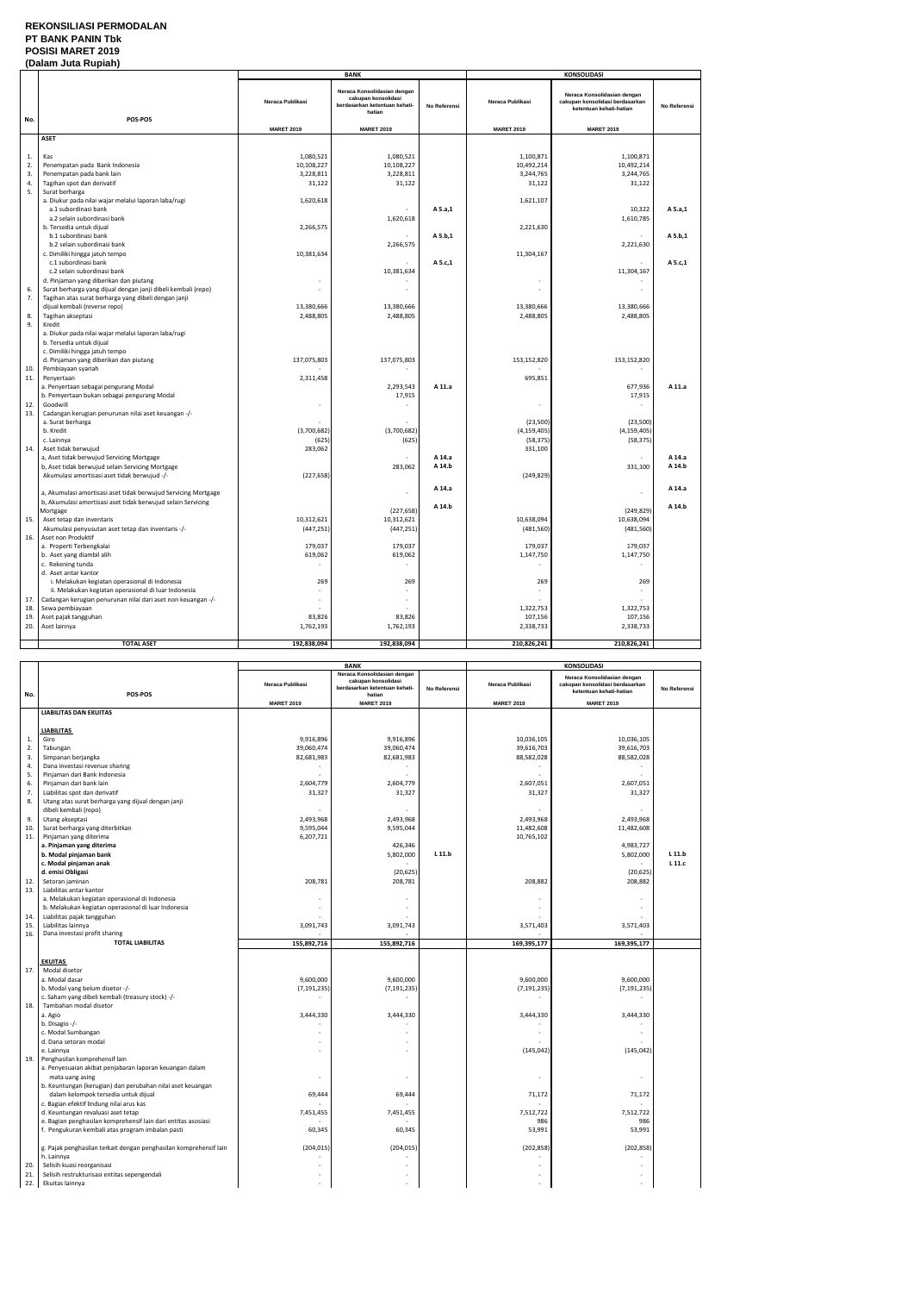## **REKONSILIASI PERMODALAN PT BANK PANIN Tbk POSISI MARET 2019**

## **(Dalam Juta Rupiah)**

|     |                                                                              |                          | <b>BANK</b>                                                                                   |              |                          | <b>KONSOLIDASI</b>                                                                        |              |
|-----|------------------------------------------------------------------------------|--------------------------|-----------------------------------------------------------------------------------------------|--------------|--------------------------|-------------------------------------------------------------------------------------------|--------------|
|     |                                                                              | Neraca Publikasi         | Neraca Konsolidasian dengan<br>cakupan konsolidasi<br>berdasarkan ketentuan kehati-<br>hatian | No Referensi | Neraca Publikasi         | Neraca Konsolidasian dengan<br>cakupan konsolidasi berdasarkan<br>ketentuan kehati-hatian | No Referensi |
| No. | POS-POS                                                                      |                          |                                                                                               |              |                          |                                                                                           |              |
|     |                                                                              | <b>MARET 2019</b>        | <b>MARET 2019</b>                                                                             |              | <b>MARET 2019</b>        | <b>MARET 2019</b>                                                                         |              |
|     | <b>ASET</b>                                                                  |                          |                                                                                               |              |                          |                                                                                           |              |
|     |                                                                              |                          |                                                                                               |              |                          |                                                                                           |              |
| 1.  | Kas                                                                          | 1,080,521                | 1,080,521                                                                                     |              | 1,100,871                | 1,100,871                                                                                 |              |
| 2.  | Penempatan pada Bank Indonesia                                               | 10,108,227               | 10,108,227                                                                                    |              | 10,492,214               | 10,492,214                                                                                |              |
| 3.  | Penempatan pada bank lain                                                    | 3,228,811                | 3,228,811                                                                                     |              | 3,244,765                | 3,244,765                                                                                 |              |
| 4.  | Tagihan spot dan derivatif                                                   | 31,122                   | 31,122                                                                                        |              | 31,122                   | 31,122                                                                                    |              |
| 5.  | Surat berharga                                                               |                          |                                                                                               |              |                          |                                                                                           |              |
|     | a. Diukur pada nilai wajar melalui laporan laba/rugi<br>a.1 subordinasi bank | 1,620,618                |                                                                                               |              | 1,621,107                |                                                                                           |              |
|     |                                                                              |                          |                                                                                               | A 5.a,1      |                          | 10,322                                                                                    | A 5.a,1      |
|     | a.2 selain subordinasi bank                                                  |                          | 1,620,618                                                                                     |              |                          | 1,610,785                                                                                 |              |
|     | b. Tersedia untuk dijual                                                     | 2,266,575                |                                                                                               | A 5.b,1      | 2,221,630                |                                                                                           | A 5.b,1      |
|     | b.1 subordinasi bank<br>b.2 selain subordinasi bank                          |                          | 2,266,575                                                                                     |              |                          | 2,221,630                                                                                 |              |
|     | c. Dimiliki hingga jatuh tempo                                               | 10,381,634               |                                                                                               |              | 11,304,167               |                                                                                           |              |
|     | c.1 subordinasi bank                                                         |                          |                                                                                               | A 5.c,1      |                          |                                                                                           | A 5.c,1      |
|     | c.2 selain subordinasi bank                                                  |                          | 10,381,634                                                                                    |              |                          | 11,304,167                                                                                |              |
|     | d. Pinjaman yang diberikan dan piutang                                       | $\overline{\phantom{a}}$ |                                                                                               |              |                          |                                                                                           |              |
| 6.  | Surat berharga yang dijual dengan janji dibeli kembali (repo)                |                          |                                                                                               |              |                          |                                                                                           |              |
| 7.  | Tagihan atas surat berharga yang dibeli dengan janji                         |                          |                                                                                               |              |                          |                                                                                           |              |
|     | dijual kembali (reverse repo)                                                | 13,380,666               | 13,380,666                                                                                    |              | 13,380,666               | 13,380,666                                                                                |              |
| 8.  | Tagihan akseptasi                                                            | 2,488,805                | 2,488,805                                                                                     |              | 2,488,805                | 2,488,805                                                                                 |              |
| 9.  | Kredit                                                                       |                          |                                                                                               |              |                          |                                                                                           |              |
|     | a. Diukur pada nilai wajar melalui laporan laba/rugi                         |                          |                                                                                               |              |                          |                                                                                           |              |
|     | b. Tersedia untuk dijual                                                     |                          |                                                                                               |              |                          |                                                                                           |              |
|     | c. Dimiliki hingga jatuh tempo                                               |                          |                                                                                               |              |                          |                                                                                           |              |
|     | d. Pinjaman yang diberikan dan piutang                                       | 137,075,803              | 137,075,803                                                                                   |              | 153,152,820              | 153,152,820                                                                               |              |
| 10. | Pembiayaan syariah                                                           |                          |                                                                                               |              |                          |                                                                                           |              |
| 11. | Penyertaan                                                                   | 2,311,458                |                                                                                               |              | 695,851                  |                                                                                           |              |
|     | a. Penyertaan sebagai pengurang Modal                                        |                          | 2,293,543                                                                                     | A 11.a       |                          | 677,936                                                                                   | A 11.a       |
|     | b. Pemyertaan bukan sebagai pengurang Modal                                  |                          | 17,915                                                                                        |              |                          | 17,915                                                                                    |              |
| 12. | Goodwill                                                                     | ÷,                       |                                                                                               |              | $\overline{\phantom{a}}$ |                                                                                           |              |
| 13. | Cadangan kerugian penurunan nilai aset keuangan -/-                          |                          |                                                                                               |              |                          |                                                                                           |              |
|     | a. Surat berharga                                                            |                          |                                                                                               |              | (23,500)                 | (23,500)                                                                                  |              |
|     | b. Kredit                                                                    | (3,700,682)              | (3,700,682)                                                                                   |              | (4, 159, 405)            | (4, 159, 405)                                                                             |              |
|     | c. Lainnya                                                                   | (625)                    | (625)                                                                                         |              | (58, 375)                | (58, 375)                                                                                 |              |
| 14. | Aset tidak berwujud                                                          | 283,062                  |                                                                                               |              | 331,100                  |                                                                                           |              |
|     | a, Aset tidak berwujud Servicing Mortgage                                    |                          |                                                                                               | A 14.a       |                          |                                                                                           | A 14.a       |
|     | b, Aset tidak berwujud selain Servicing Mortgage                             |                          | 283,062                                                                                       | A 14.b       |                          | 331,100                                                                                   | A 14.b       |
|     | Akumulasi amortisasi aset tidak berwujud -/-                                 | (227, 658)               |                                                                                               |              | (249, 829)               |                                                                                           |              |
|     |                                                                              |                          |                                                                                               | A 14.a       |                          |                                                                                           | A 14.a       |
|     | a, Akumulasi amortisasi aset tidak berwujud Servicing Mortgage               |                          |                                                                                               |              |                          | ÷,                                                                                        |              |
|     | b, Akumulasi amortisasi aset tidak berwujud selain Servicing                 |                          |                                                                                               | A 14.b       |                          |                                                                                           | A 14.b       |
|     | Mortgage                                                                     |                          | (227, 658)                                                                                    |              |                          | (249, 829)                                                                                |              |
| 15. | Aset tetap dan inventaris                                                    | 10,312,621               | 10,312,621                                                                                    |              | 10,638,094               | 10,638,094                                                                                |              |
|     | Akumulasi penyusutan aset tetap dan inventaris -/-                           | (447, 251)               | (447, 251)                                                                                    |              | (481, 560)               | (481, 560)                                                                                |              |
| 16. | Aset non Produktif                                                           |                          |                                                                                               |              |                          |                                                                                           |              |
|     | a. Properti Terbengkalai                                                     | 179,037                  | 179,037                                                                                       |              | 179,037                  | 179,037                                                                                   |              |
|     | b. Aset yang diambil alih                                                    | 619,062                  | 619,062                                                                                       |              | 1,147,750                | 1,147,750                                                                                 |              |
|     | c. Rekening tunda                                                            |                          |                                                                                               |              |                          |                                                                                           |              |
|     | d. Aset antar kantor                                                         |                          |                                                                                               |              |                          |                                                                                           |              |
|     | i. Melakukan kegiatan operasional di Indonesia                               | 269                      | 269                                                                                           |              | 269                      | 269                                                                                       |              |
|     | ii. Melakukan kegiatan operasional di luar Indonesia                         |                          |                                                                                               |              |                          |                                                                                           |              |
| 17. | Cadangan kerugian penurunan nilai dari aset non keuangan -/-                 | ٠                        |                                                                                               |              |                          |                                                                                           |              |
| 18. | Sewa pembiayaan                                                              |                          |                                                                                               |              | 1,322,753                | 1,322,753                                                                                 |              |
| 19. | Aset pajak tangguhan                                                         | 83,826                   | 83,826                                                                                        |              | 107,156                  | 107,156                                                                                   |              |
| 20. | Aset lainnya                                                                 | 1,762,193                | 1,762,193                                                                                     |              | 2,338,733                | 2,338,733                                                                                 |              |
|     | <b>TOTAL ASET</b>                                                            | 192,838,094              | 192,838,094                                                                                   |              |                          | 210,826,241                                                                               |              |
|     |                                                                              |                          |                                                                                               |              | 210,826,241              |                                                                                           |              |

|      |                                                                   |                          | <b>BANK</b>                                                                         |              |                   | KONSOLIDASI                                                                               |              |
|------|-------------------------------------------------------------------|--------------------------|-------------------------------------------------------------------------------------|--------------|-------------------|-------------------------------------------------------------------------------------------|--------------|
|      |                                                                   | Neraca Publikasi         | Neraca Konsolidasian dengan<br>cakupan konsolidasi<br>berdasarkan ketentuan kehati- | No Referensi | Neraca Publikasi  | Neraca Konsolidasian dengan<br>cakupan konsolidasi berdasarkan<br>ketentuan kehati-hatian | No Referensi |
| No.  | POS-POS                                                           | <b>MARET 2019</b>        | hatian<br><b>MARET 2019</b>                                                         |              | <b>MARET 2019</b> | <b>MARET 2019</b>                                                                         |              |
|      | <b>LIABILITAS DAN EKUITAS</b>                                     |                          |                                                                                     |              |                   |                                                                                           |              |
|      |                                                                   |                          |                                                                                     |              |                   |                                                                                           |              |
|      | <b>LIABILITAS</b>                                                 |                          |                                                                                     |              |                   |                                                                                           |              |
| $1.$ | Giro                                                              | 9,916,896                | 9.916.896                                                                           |              | 10,036,105        | 10,036,105                                                                                |              |
| 2.   | Tabungan                                                          | 39,060,474               | 39,060,474                                                                          |              | 39,616,703        | 39,616,703                                                                                |              |
| 3.   | Simpanan berjangka                                                | 82,681,983               | 82,681,983                                                                          |              | 88,582,028        | 88,582,028                                                                                |              |
| 4.   | Dana investasi revenue sharing                                    |                          |                                                                                     |              |                   |                                                                                           |              |
| 5.   | Pinjaman dari Bank Indonesia                                      |                          |                                                                                     |              |                   |                                                                                           |              |
| 6.   | Pinjaman dari bank lain                                           | 2,604,779                | 2,604,779                                                                           |              | 2,607,051         | 2,607,051                                                                                 |              |
| 7.   | Liabilitas spot dan derivatif                                     | 31,327                   | 31,327                                                                              |              | 31,327            | 31,327                                                                                    |              |
| 8.   | Utang atas surat berharga yang dijual dengan janji                |                          |                                                                                     |              |                   |                                                                                           |              |
|      | dibeli kembali (repo)                                             |                          |                                                                                     |              |                   |                                                                                           |              |
| 9.   | Utang akseptasi                                                   | 2,493,968                | 2,493,968                                                                           |              | 2,493,968         | 2,493,968                                                                                 |              |
| 10.  | Surat berharga yang diterbitkan                                   | 9,595,044                | 9,595,044                                                                           |              | 11,482,608        | 11,482,608                                                                                |              |
| 11.  | Pinjaman yang diterima                                            | 6,207,721                |                                                                                     |              | 10,765,102        |                                                                                           |              |
|      | a. Pinjaman yang diterima                                         |                          | 426,346                                                                             |              |                   | 4,983,727                                                                                 |              |
|      | b. Modal pinjaman bank                                            |                          | 5,802,000                                                                           | $L$ 11.b     |                   | 5,802,000                                                                                 | $L$ 11.b     |
|      | c. Modal pinjaman anak                                            |                          |                                                                                     |              |                   |                                                                                           | $L$ 11. $c$  |
|      | d. emisi Obligasi                                                 |                          | (20, 625)                                                                           |              |                   | (20, 625)                                                                                 |              |
| 12.  | Setoran jaminan                                                   | 208,781                  | 208,781                                                                             |              | 208,882           | 208,882                                                                                   |              |
| 13.  | Liabilitas antar kantor                                           |                          |                                                                                     |              |                   |                                                                                           |              |
|      | a. Melakukan kegiatan operasional di Indonesia                    |                          |                                                                                     |              |                   |                                                                                           |              |
|      | b. Melakukan kegiatan operasional di luar Indonesia               |                          |                                                                                     |              |                   |                                                                                           |              |
| 14.  | Liabilitas pajak tangguhan                                        |                          |                                                                                     |              |                   |                                                                                           |              |
| 15.  | Liabilitas lainnya                                                | 3,091,743                | 3,091,743                                                                           |              | 3,571,403         | 3,571,403                                                                                 |              |
| 16.  | Dana investasi profit sharing<br><b>TOTAL LIABILITAS</b>          |                          |                                                                                     |              |                   |                                                                                           |              |
|      |                                                                   | 155,892,716              | 155,892,716                                                                         |              | 169,395,177       | 169,395,177                                                                               |              |
|      | <b>EKUITAS</b>                                                    |                          |                                                                                     |              |                   |                                                                                           |              |
| 17.  | Modal disetor                                                     |                          |                                                                                     |              |                   |                                                                                           |              |
|      | a. Modal dasar                                                    | 9,600,000                | 9,600,000                                                                           |              | 9,600,000         | 9,600,000                                                                                 |              |
|      | b. Modal yang belum disetor -/-                                   | (7, 191, 235)            | (7, 191, 235)                                                                       |              | (7, 191, 235)     | (7, 191, 235)                                                                             |              |
|      | c. Saham yang dibeli kembali (treasury stock) -/-                 | $\overline{\phantom{a}}$ |                                                                                     |              | $\sim$            |                                                                                           |              |
| 18.  | Tambahan modal disetor                                            |                          |                                                                                     |              |                   |                                                                                           |              |
|      | a. Agio                                                           | 3,444,330                | 3,444,330                                                                           |              | 3,444,330         | 3,444,330                                                                                 |              |
|      | b. Disagio -/-                                                    |                          |                                                                                     |              | $\sim$            |                                                                                           |              |
|      | c. Modal Sumbangan                                                |                          |                                                                                     |              |                   |                                                                                           |              |
|      | d. Dana setoran modal                                             |                          |                                                                                     |              |                   |                                                                                           |              |
|      | e. Lainnya                                                        |                          |                                                                                     |              | (145, 042)        | (145, 042)                                                                                |              |
| 19.  | Penghasilan komprehensif lain                                     |                          |                                                                                     |              |                   |                                                                                           |              |
|      | a. Penyesuaian akibat penjabaran laporan keuangan dalam           |                          |                                                                                     |              |                   |                                                                                           |              |
|      | mata uang asing                                                   |                          |                                                                                     |              |                   | ÷,                                                                                        |              |
|      | b. Keuntungan (kerugian) dari perubahan nilai aset keuangan       |                          |                                                                                     |              |                   |                                                                                           |              |
|      | dalam kelompok tersedia untuk dijual                              | 69,444                   | 69,444                                                                              |              | 71,172            | 71,172                                                                                    |              |
|      | c. Bagian efektif lindung nilai arus kas                          |                          |                                                                                     |              |                   |                                                                                           |              |
|      | d. Keuntungan revaluasi aset tetap                                | 7,451,455                | 7,451,455                                                                           |              | 7,512,722         | 7,512,722                                                                                 |              |
|      | e. Bagian penghasilan komprehensif lain dari entitas asosiasi     |                          |                                                                                     |              | 986               | 986                                                                                       |              |
|      | f. Pengukuran kembali atas program imbalan pasti                  | 60,345                   | 60,345                                                                              |              | 53,991            | 53,991                                                                                    |              |
|      |                                                                   |                          |                                                                                     |              |                   |                                                                                           |              |
|      | g. Pajak penghasilan terkait dengan penghasilan komprehensif lain | (204, 015)               | (204, 015)                                                                          |              | (202, 858)        | (202, 858)                                                                                |              |
|      | h. Lainnya                                                        |                          |                                                                                     |              |                   |                                                                                           |              |
| 20.  | Selisih kuasi reorganisasi                                        |                          |                                                                                     |              |                   |                                                                                           |              |
| 21.  | Selisih restrukturisasi entitas sepengendali                      |                          |                                                                                     |              |                   |                                                                                           |              |
| 22.  | Ekuitas lainnya                                                   |                          |                                                                                     |              |                   |                                                                                           |              |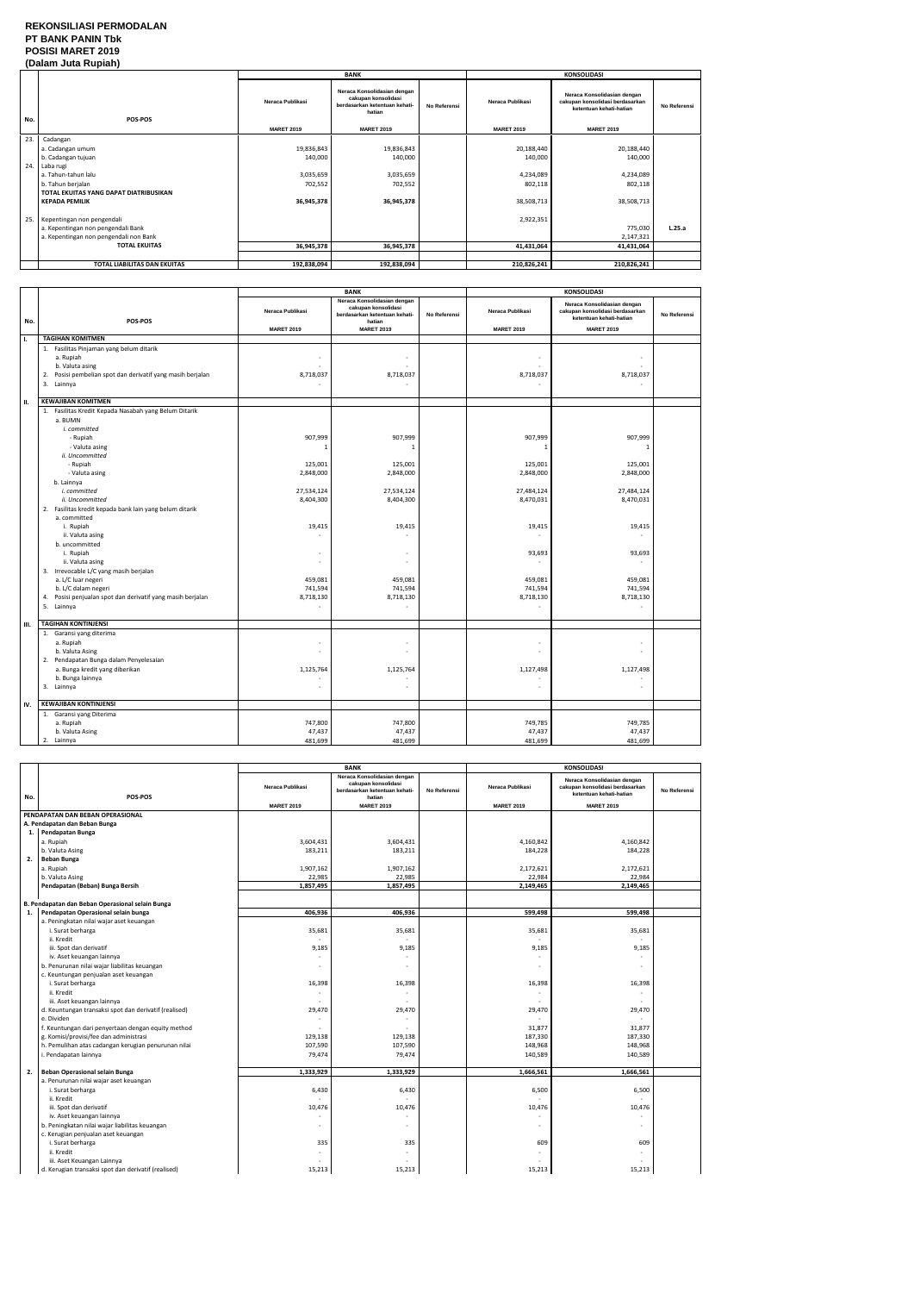## **REKONSILIASI PERMODALAN PT BANK PANIN Tbk POSISI MARET 2019 (Dalam Juta Rupiah)**

|     | (Dalam vula Ruplan)                    |                   |                                                                                               |                     |                   |                                                                                           |              |
|-----|----------------------------------------|-------------------|-----------------------------------------------------------------------------------------------|---------------------|-------------------|-------------------------------------------------------------------------------------------|--------------|
|     |                                        |                   | <b>BANK</b>                                                                                   |                     |                   | <b>KONSOLIDASI</b>                                                                        |              |
| No. | <b>POS-POS</b>                         | Neraca Publikasi  | Neraca Konsolidasian dengan<br>cakupan konsolidasi<br>berdasarkan ketentuan kehati-<br>hatian | <b>No Referensi</b> | Neraca Publikasi  | Neraca Konsolidasian dengan<br>cakupan konsolidasi berdasarkan<br>ketentuan kehati-hatian | No Referensi |
|     |                                        | <b>MARET 2019</b> | <b>MARET 2019</b>                                                                             |                     | <b>MARET 2019</b> | <b>MARET 2019</b>                                                                         |              |
| 23. | Cadangan                               |                   |                                                                                               |                     |                   |                                                                                           |              |
|     | a. Cadangan umum                       | 19,836,843        | 19,836,843                                                                                    |                     | 20,188,440        | 20,188,440                                                                                |              |
|     | b. Cadangan tujuan                     | 140,000           | 140,000                                                                                       |                     | 140,000           | 140,000                                                                                   |              |
| 24. | Laba rugi                              |                   |                                                                                               |                     |                   |                                                                                           |              |
|     | a. Tahun-tahun lalu                    | 3,035,659         | 3,035,659                                                                                     |                     | 4,234,089         | 4,234,089                                                                                 |              |
|     | b. Tahun berjalan                      | 702,552           | 702,552                                                                                       |                     | 802,118           | 802,118                                                                                   |              |
|     | TOTAL EKUITAS YANG DAPAT DIATRIBUSIKAN |                   |                                                                                               |                     |                   |                                                                                           |              |
|     | <b>KEPADA PEMILIK</b>                  | 36,945,378        | 36,945,378                                                                                    |                     | 38,508,713        | 38,508,713                                                                                |              |
|     |                                        |                   |                                                                                               |                     |                   |                                                                                           |              |
| 25. | Kepentingan non pengendali             |                   |                                                                                               |                     | 2,922,351         |                                                                                           |              |
|     | a. Kepentingan non pengendali Bank     |                   |                                                                                               |                     |                   | 775,030                                                                                   | L.25.a       |
|     | a. Kepentingan non pengendali non Bank |                   |                                                                                               |                     |                   | 2,147,321                                                                                 |              |
|     | <b>TOTAL EKUITAS</b>                   | 36,945,378        | 36,945,378                                                                                    |                     | 41,431,064        | 41,431,064                                                                                |              |
|     |                                        |                   |                                                                                               |                     |                   |                                                                                           |              |
|     | TOTAL LIABILITAS DAN EKUITAS           | 192,838,094       | 192,838,094                                                                                   |                     | 210,826,241       | 210,826,241                                                                               |              |

|     |                                                                                                                                                                                                                                                                                                                                                                                                                                                                                                                                                       | <b>BANK</b>                                                                                                                       |                                                                                                                                              | <b>KONSOLIDASI</b> |                                                                                                                                     |                                                                                                                                   |              |
|-----|-------------------------------------------------------------------------------------------------------------------------------------------------------------------------------------------------------------------------------------------------------------------------------------------------------------------------------------------------------------------------------------------------------------------------------------------------------------------------------------------------------------------------------------------------------|-----------------------------------------------------------------------------------------------------------------------------------|----------------------------------------------------------------------------------------------------------------------------------------------|--------------------|-------------------------------------------------------------------------------------------------------------------------------------|-----------------------------------------------------------------------------------------------------------------------------------|--------------|
| No. | POS-POS                                                                                                                                                                                                                                                                                                                                                                                                                                                                                                                                               | Neraca Publikasi                                                                                                                  | Neraca Konsolidasian dengan<br>cakupan konsolidasi<br>berdasarkan ketentuan kehati-<br>hatian                                                | No Referensi       | Neraca Publikasi                                                                                                                    | Neraca Konsolidasian dengan<br>cakupan konsolidasi berdasarkan<br>ketentuan kehati-hatian                                         | No Referensi |
|     |                                                                                                                                                                                                                                                                                                                                                                                                                                                                                                                                                       | <b>MARET 2019</b>                                                                                                                 | <b>MARET 2019</b>                                                                                                                            |                    | <b>MARET 2019</b>                                                                                                                   | <b>MARET 2019</b>                                                                                                                 |              |
| Ι.  | <b>TAGIHAN KOMITMEN</b>                                                                                                                                                                                                                                                                                                                                                                                                                                                                                                                               |                                                                                                                                   |                                                                                                                                              |                    |                                                                                                                                     |                                                                                                                                   |              |
|     | 1. Fasilitas Pinjaman yang belum ditarik<br>a. Rupiah<br>b. Valuta asing<br>Posisi pembelian spot dan derivatif yang masih berjalan<br>2.<br>3. Lainnya                                                                                                                                                                                                                                                                                                                                                                                               | 8,718,037                                                                                                                         | 8,718,037<br>$\blacksquare$                                                                                                                  |                    | 8,718,037                                                                                                                           | 8,718,037<br>$\sim$                                                                                                               |              |
| н.  | <b>KEWAJIBAN KOMITMEN</b>                                                                                                                                                                                                                                                                                                                                                                                                                                                                                                                             |                                                                                                                                   |                                                                                                                                              |                    |                                                                                                                                     |                                                                                                                                   |              |
|     | 1. Fasilitas Kredit Kepada Nasabah yang Belum Ditarik<br>a. BUMN<br>i. committed<br>- Rupiah<br>- Valuta asing<br>ii. Uncommitted<br>- Rupiah<br>- Valuta asing<br>b. Lainnya<br>i. committed<br>ii. Uncommitted<br>2. Fasilitas kredit kepada bank lain yang belum ditarik<br>a. committed<br>i. Rupiah<br>ii. Valuta asing<br>b. uncommitted<br>i. Rupiah<br>ii. Valuta asing<br>3. Irrevocable L/C yang masih berjalan<br>a. L/C luar negeri<br>b. L/C dalam negeri<br>Posisi penjualan spot dan derivatif yang masih berjalan<br>4.<br>5. Lainnya | 907,999<br>$\mathbf{1}$<br>125,001<br>2,848,000<br>27,534,124<br>8,404,300<br>19,415<br>459,081<br>741,594<br>8,718,130<br>$\sim$ | 907,999<br>$\mathbf{1}$<br>125,001<br>2,848,000<br>27,534,124<br>8,404,300<br>19,415<br>٠<br>÷,<br>459,081<br>741,594<br>8,718,130<br>$\sim$ |                    | 907,999<br>$\overline{1}$<br>125,001<br>2,848,000<br>27,484,124<br>8,470,031<br>19,415<br>93,693<br>459,081<br>741,594<br>8,718,130 | 907,999<br>$\mathbf{1}$<br>125,001<br>2,848,000<br>27,484,124<br>8,470,031<br>19,415<br>93,693<br>459,081<br>741,594<br>8,718,130 |              |
| Ш.  | <b>TAGIHAN KONTINJENSI</b>                                                                                                                                                                                                                                                                                                                                                                                                                                                                                                                            |                                                                                                                                   |                                                                                                                                              |                    |                                                                                                                                     |                                                                                                                                   |              |
|     | 1. Garansi yang diterima<br>a. Rupiah<br>b. Valuta Asing<br>2. Pendapatan Bunga dalam Penyelesaian<br>a. Bunga kredit yang diberikan<br>b. Bunga lainnya<br>3. Lainnya                                                                                                                                                                                                                                                                                                                                                                                | 1,125,764                                                                                                                         | ÷,<br>ä,<br>1,125,764<br>ä,                                                                                                                  |                    | 1,127,498                                                                                                                           | $\sim$<br>1,127,498                                                                                                               |              |
| IV. | <b>KEWAJIBAN KONTINJENSI</b>                                                                                                                                                                                                                                                                                                                                                                                                                                                                                                                          |                                                                                                                                   |                                                                                                                                              |                    |                                                                                                                                     |                                                                                                                                   |              |
|     | 1. Garansi yang Diterima<br>a. Rupiah<br>b. Valuta Asing<br>2. Lainnya                                                                                                                                                                                                                                                                                                                                                                                                                                                                                | 747,800<br>47,437<br>481,699                                                                                                      | 747,800<br>47,437<br>481,699                                                                                                                 |                    | 749,785<br>47,437<br>481,699                                                                                                        | 749,785<br>47,437<br>481,699                                                                                                      |              |

|     |                                                       | <b>BANK</b>       |                                                                                               | <b>KONSOLIDASI</b> |                         |                                                                                           |              |
|-----|-------------------------------------------------------|-------------------|-----------------------------------------------------------------------------------------------|--------------------|-------------------------|-------------------------------------------------------------------------------------------|--------------|
| No. | POS-POS                                               | Neraca Publikasi  | Neraca Konsolidasian dengan<br>cakupan konsolidasi<br>berdasarkan ketentuan kehati-<br>hatian | No Referensi       | <b>Neraca Publikasi</b> | Neraca Konsolidasian dengan<br>cakupan konsolidasi berdasarkan<br>ketentuan kehati-hatian | No Referensi |
|     |                                                       | <b>MARET 2019</b> | <b>MARET 2019</b>                                                                             |                    | <b>MARET 2019</b>       | <b>MARET 2019</b>                                                                         |              |
|     | PENDAPATAN DAN BEBAN OPERASIONAL                      |                   |                                                                                               |                    |                         |                                                                                           |              |
|     | A. Pendapatan dan Beban Bunga                         |                   |                                                                                               |                    |                         |                                                                                           |              |
|     | 1. Pendapatan Bunga                                   |                   |                                                                                               |                    |                         |                                                                                           |              |
|     | a. Rupiah                                             | 3,604,431         | 3,604,431                                                                                     |                    | 4,160,842               | 4,160,842                                                                                 |              |
|     | b. Valuta Asing                                       | 183,211           | 183,211                                                                                       |                    | 184,228                 | 184,228                                                                                   |              |
| 2.  | <b>Beban Bunga</b>                                    |                   |                                                                                               |                    |                         |                                                                                           |              |
|     | a. Rupiah                                             | 1,907,162         | 1,907,162                                                                                     |                    | 2,172,621               | 2,172,621                                                                                 |              |
|     | b. Valuta Asing                                       | 22,985            | 22,985                                                                                        |                    | 22,984                  | 22,984                                                                                    |              |
|     | Pendapatan (Beban) Bunga Bersih                       | 1,857,495         | 1,857,495                                                                                     |                    | 2,149,465               | 2,149,465                                                                                 |              |
|     |                                                       |                   |                                                                                               |                    |                         |                                                                                           |              |
|     | B. Pendapatan dan Beban Operasional selain Bunga      |                   |                                                                                               |                    |                         |                                                                                           |              |
| 1.  | Pendapatan Operasional selain bunga                   | 406,936           | 406,936                                                                                       |                    | 599,498                 | 599,498                                                                                   |              |
|     | a. Peningkatan nilai wajar aset keuangan              |                   |                                                                                               |                    |                         |                                                                                           |              |
|     | i. Surat berharga                                     | 35,681            | 35,681                                                                                        |                    | 35,681                  | 35,681                                                                                    |              |
|     | ii. Kredit                                            |                   |                                                                                               |                    |                         |                                                                                           |              |
|     | iii. Spot dan derivatif                               | 9,185             | 9,185                                                                                         |                    | 9,185                   | 9,185                                                                                     |              |
|     | iv. Aset keuangan lainnya                             |                   |                                                                                               |                    |                         |                                                                                           |              |
|     | b. Penurunan nilai wajar liabilitas keuangan          |                   |                                                                                               |                    |                         |                                                                                           |              |
|     | c. Keuntungan penjualan aset keuangan                 |                   |                                                                                               |                    |                         |                                                                                           |              |
|     | i. Surat berharga                                     | 16,398            | 16,398                                                                                        |                    | 16,398                  | 16,398                                                                                    |              |
|     | ii. Kredit                                            |                   |                                                                                               |                    | $\sim$                  | $\overline{\phantom{a}}$                                                                  |              |
|     | iii. Aset keuangan lainnya                            | ÷.                |                                                                                               |                    |                         | $\sim$                                                                                    |              |
|     | d. Keuntungan transaksi spot dan derivatif (realised) | 29,470            | 29,470                                                                                        |                    | 29,470                  | 29,470                                                                                    |              |
|     | e. Dividen                                            |                   |                                                                                               |                    |                         |                                                                                           |              |
|     | f. Keuntungan dari penyertaan dengan equity method    |                   |                                                                                               |                    | 31,877                  | 31,877                                                                                    |              |
|     | g. Komisi/provisi/fee dan administrasi                | 129,138           | 129,138                                                                                       |                    | 187,330                 | 187,330                                                                                   |              |
|     | h. Pemulihan atas cadangan kerugian penurunan nilai   | 107,590           | 107,590                                                                                       |                    | 148,968                 | 148,968                                                                                   |              |
|     | i. Pendapatan lainnya                                 | 79,474            | 79,474                                                                                        |                    | 140,589                 | 140,589                                                                                   |              |
|     |                                                       |                   |                                                                                               |                    |                         |                                                                                           |              |
| 2.  | Beban Operasional selain Bunga                        | 1,333,929         | 1,333,929                                                                                     |                    | 1,666,561               | 1,666,561                                                                                 |              |
|     | a. Penurunan nilai wajar aset keuangan                |                   |                                                                                               |                    |                         |                                                                                           |              |
|     | i. Surat berharga                                     | 6,430             | 6,430                                                                                         |                    | 6,500                   | 6,500                                                                                     |              |
|     | ii. Kredit                                            |                   |                                                                                               |                    |                         |                                                                                           |              |
|     | iii. Spot dan derivatif                               | 10,476            | 10,476                                                                                        |                    | 10,476                  | 10,476                                                                                    |              |
|     | iv. Aset keuangan lainnya                             |                   |                                                                                               |                    |                         |                                                                                           |              |
|     | b. Peningkatan nilai wajar liabilitas keuangan        |                   |                                                                                               |                    |                         |                                                                                           |              |
|     | c. Kerugian penjualan aset keuangan                   |                   |                                                                                               |                    |                         |                                                                                           |              |
|     | i. Surat berharga                                     | 335               | 335                                                                                           |                    | 609                     | 609                                                                                       |              |
|     | ii. Kredit                                            |                   |                                                                                               |                    |                         |                                                                                           |              |
|     | iii. Aset Keuangan Lainnya                            |                   |                                                                                               |                    |                         |                                                                                           |              |
|     | d. Kerugian transaksi spot dan derivatif (realised)   | 15,213            | 15,213                                                                                        |                    | 15,213                  | 15,213                                                                                    |              |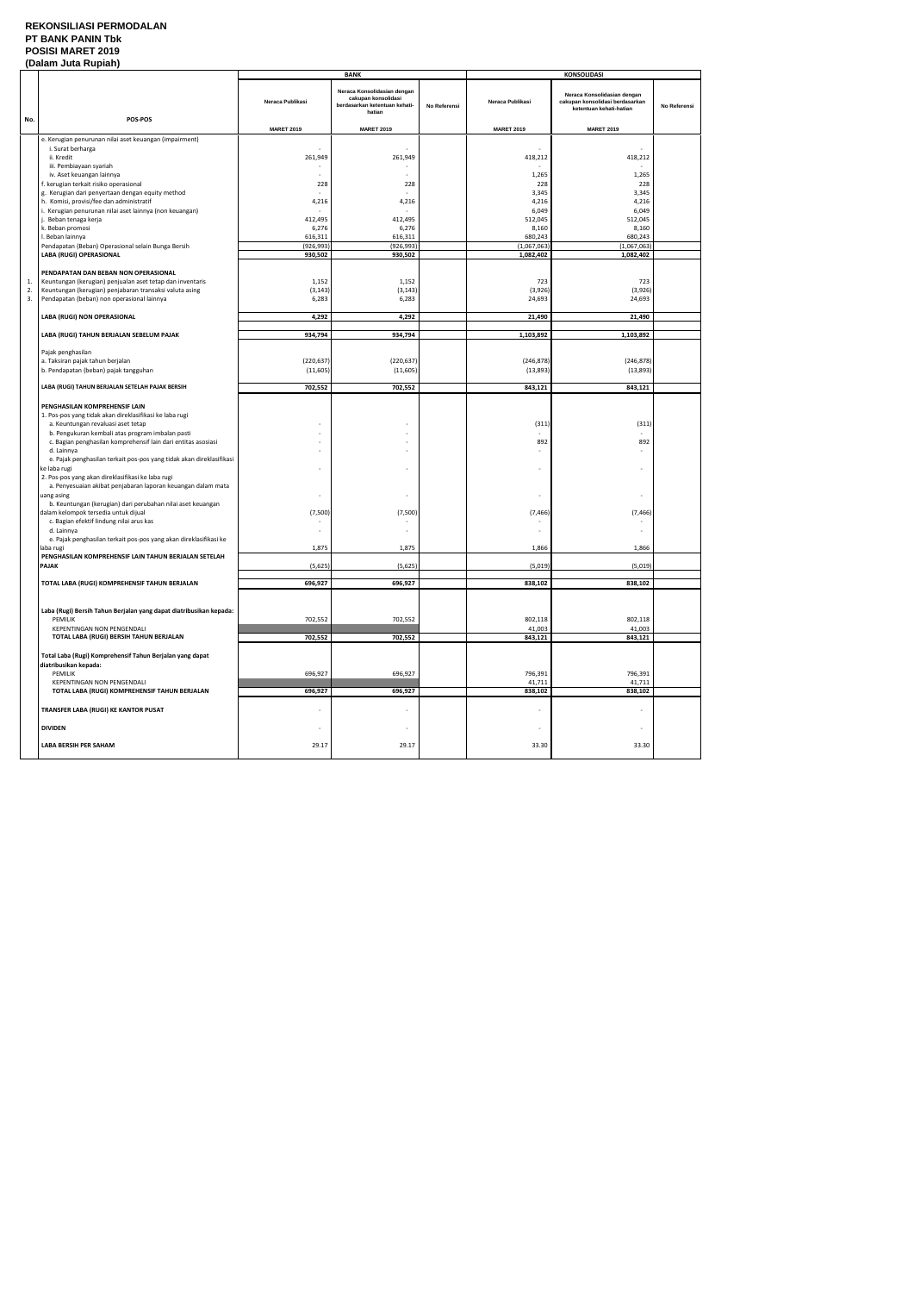## **REKONSILIASI PERMODALAN PT BANK PANIN Tbk POSISI MARET 2019**

|     | (Dalam Juta Rupiah)                                                                                               |                          |                                                                                               |              |                   |                                                                                           |              |
|-----|-------------------------------------------------------------------------------------------------------------------|--------------------------|-----------------------------------------------------------------------------------------------|--------------|-------------------|-------------------------------------------------------------------------------------------|--------------|
|     |                                                                                                                   |                          | <b>BANK</b>                                                                                   |              |                   | <b>KONSOLIDASI</b>                                                                        |              |
|     | POS-POS                                                                                                           | Neraca Publikasi         | Neraca Konsolidasian dengan<br>cakupan konsolidasi<br>berdasarkan ketentuan kehati-<br>hatian | No Referensi | Neraca Publikasi  | Neraca Konsolidasian dengan<br>cakupan konsolidasi berdasarkan<br>ketentuan kehati-hatian | No Referensi |
| No. |                                                                                                                   | <b>MARET 2019</b>        | <b>MARET 2019</b>                                                                             |              | <b>MARET 2019</b> | <b>MARET 2019</b>                                                                         |              |
|     | e. Kerugian penurunan nilai aset keuangan (impairment)                                                            |                          |                                                                                               |              |                   |                                                                                           |              |
|     | i. Surat berharga                                                                                                 |                          |                                                                                               |              |                   |                                                                                           |              |
|     | ii. Kredit                                                                                                        | 261,949                  | 261,949                                                                                       |              | 418,212           | 418,212                                                                                   |              |
|     | iii. Pembiayaan syariah<br>iv. Aset keuangan lainnya                                                              |                          |                                                                                               |              |                   | 1,265                                                                                     |              |
|     | f. kerugian terkait risiko operasional                                                                            | 228                      | 228                                                                                           |              | 1,265<br>228      | 228                                                                                       |              |
|     | g. Kerugian dari penyertaan dengan equity method                                                                  |                          |                                                                                               |              | 3,345             | 3,345                                                                                     |              |
|     | h. Komisi, provisi/fee dan administratif                                                                          | 4,216                    | 4,216                                                                                         |              | 4,216             | 4,216                                                                                     |              |
|     | i. Kerugian penurunan nilai aset lainnya (non keuangan)                                                           |                          |                                                                                               |              | 6,049             | 6,049                                                                                     |              |
|     | . Beban tenaga kerja<br>k. Beban promosi                                                                          | 412,495<br>6,276         | 412,495<br>6,276                                                                              |              | 512,045<br>8,160  | 512,045<br>8,160                                                                          |              |
|     | I. Beban lainnya                                                                                                  | 616,311                  | 616,311                                                                                       |              | 680,243           | 680,243                                                                                   |              |
|     | Pendapatan (Beban) Operasional selain Bunga Bersih                                                                | (926, 993)               | (926, 993)                                                                                    |              | (1,067,063)       | (1,067,063)                                                                               |              |
|     | LABA (RUGI) OPERASIONAL                                                                                           | 930,502                  | 930,502                                                                                       |              | 1,082,402         | 1,082,402                                                                                 |              |
|     |                                                                                                                   |                          |                                                                                               |              |                   |                                                                                           |              |
| 1.  | PENDAPATAN DAN BEBAN NON OPERASIONAL<br>Keuntungan (kerugian) penjualan aset tetap dan inventaris                 | 1,152                    | 1,152                                                                                         |              | 723               | 723                                                                                       |              |
| 2.  | Keuntungan (kerugian) penjabaran transaksi valuta asing                                                           | (3, 143)                 | (3, 143)                                                                                      |              | (3,926)           | (3,926)                                                                                   |              |
| 3.  | Pendapatan (beban) non operasional lainnya                                                                        | 6,283                    | 6,283                                                                                         |              | 24,693            | 24,693                                                                                    |              |
|     |                                                                                                                   |                          |                                                                                               |              |                   |                                                                                           |              |
|     | LABA (RUGI) NON OPERASIONAL                                                                                       | 4,292                    | 4,292                                                                                         |              | 21,490            | 21,490                                                                                    |              |
|     | LABA (RUGI) TAHUN BERJALAN SEBELUM PAJAK                                                                          | 934,794                  | 934,794                                                                                       |              | 1,103,892         | 1,103,892                                                                                 |              |
|     |                                                                                                                   |                          |                                                                                               |              |                   |                                                                                           |              |
|     | Pajak penghasilan                                                                                                 |                          |                                                                                               |              |                   |                                                                                           |              |
|     | a. Taksiran pajak tahun berjalan                                                                                  | (220, 637)               | (220, 637)                                                                                    |              | (246, 878)        | (246, 878)                                                                                |              |
|     | b. Pendapatan (beban) pajak tangguhan                                                                             | (11, 605)                | (11, 605)                                                                                     |              | (13, 893)         | (13,893)                                                                                  |              |
|     | LABA (RUGI) TAHUN BERJALAN SETELAH PAJAK BERSIH                                                                   | 702,552                  | 702,552                                                                                       |              | 843,121           | 843,121                                                                                   |              |
|     |                                                                                                                   |                          |                                                                                               |              |                   |                                                                                           |              |
|     | PENGHASILAN KOMPREHENSIF LAIN                                                                                     |                          |                                                                                               |              |                   |                                                                                           |              |
|     | 1. Pos-pos yang tidak akan direklasifikasi ke laba rugi                                                           |                          |                                                                                               |              |                   |                                                                                           |              |
|     | a. Keuntungan revaluasi aset tetap<br>b. Pengukuran kembali atas program imbalan pasti                            |                          |                                                                                               |              | (311)             | (311)                                                                                     |              |
|     | c. Bagian penghasilan komprehensif lain dari entitas asosiasi                                                     |                          | $\overline{\phantom{a}}$                                                                      |              | 892               | 892                                                                                       |              |
|     | d. Lainnya                                                                                                        |                          | $\sim$                                                                                        |              |                   |                                                                                           |              |
|     | e. Pajak penghasilan terkait pos-pos yang tidak akan direklasifikasi                                              |                          |                                                                                               |              |                   |                                                                                           |              |
|     | ke laba rugi                                                                                                      |                          |                                                                                               |              |                   | $\overline{\phantom{a}}$                                                                  |              |
|     | 2. Pos-pos yang akan direklasifikasi ke laba rugi<br>a. Penyesuaian akibat penjabaran laporan keuangan dalam mata |                          |                                                                                               |              |                   |                                                                                           |              |
|     | uang asing                                                                                                        |                          | $\overline{\phantom{a}}$                                                                      |              |                   | $\overline{\phantom{a}}$                                                                  |              |
|     | b. Keuntungan (kerugian) dari perubahan nilai aset keuangan                                                       |                          |                                                                                               |              |                   |                                                                                           |              |
|     | dalam kelompok tersedia untuk dijual                                                                              | (7,500)                  | (7,500)                                                                                       |              | (7, 466)          | (7, 466)                                                                                  |              |
|     | c. Bagian efektif lindung nilai arus kas<br>d. Lainnya                                                            |                          |                                                                                               |              |                   |                                                                                           |              |
|     | e. Pajak penghasilan terkait pos-pos yang akan direklasifikasi ke                                                 |                          |                                                                                               |              |                   |                                                                                           |              |
|     | laba rugi                                                                                                         | 1,875                    | 1,875                                                                                         |              | 1,866             | 1,866                                                                                     |              |
|     | PENGHASILAN KOMPREHENSIF LAIN TAHUN BERJALAN SETELAH                                                              |                          |                                                                                               |              |                   |                                                                                           |              |
|     | PAJAK                                                                                                             | (5,625)                  | (5,625)                                                                                       |              | (5,019)           | (5,019)                                                                                   |              |
|     | TOTAL LABA (RUGI) KOMPREHENSIF TAHUN BERJALAN                                                                     | 696,927                  | 696,927                                                                                       |              | 838,102           | 838,102                                                                                   |              |
|     |                                                                                                                   |                          |                                                                                               |              |                   |                                                                                           |              |
|     |                                                                                                                   |                          |                                                                                               |              |                   |                                                                                           |              |
|     | Laba (Rugi) Bersih Tahun Berjalan yang dapat diatribusikan kepada:                                                |                          |                                                                                               |              |                   |                                                                                           |              |
|     | PEMILIK<br>KEPENTINGAN NON PENGENDALI                                                                             | 702,552                  | 702,552                                                                                       |              | 802,118<br>41,003 | 802,118<br>41,003                                                                         |              |
|     | TOTAL LABA (RUGI) BERSIH TAHUN BERJALAN                                                                           | 702,552                  | 702,552                                                                                       |              | 843,121           | 843,121                                                                                   |              |
|     |                                                                                                                   |                          |                                                                                               |              |                   |                                                                                           |              |
|     | Total Laba (Rugi) Komprehensif Tahun Berjalan yang dapat                                                          |                          |                                                                                               |              |                   |                                                                                           |              |
|     | diatribusikan kepada:                                                                                             |                          |                                                                                               |              |                   |                                                                                           |              |
|     | PEMILIK<br>KEPENTINGAN NON PENGENDALI                                                                             | 696,927                  | 696,927                                                                                       |              | 796,391<br>41,711 | 796,391<br>41,711                                                                         |              |
|     | TOTAL LABA (RUGI) KOMPREHENSIF TAHUN BERJALAN                                                                     | 696,927                  | 696,927                                                                                       |              | 838,102           | 838,102                                                                                   |              |
|     |                                                                                                                   |                          |                                                                                               |              |                   |                                                                                           |              |
|     | TRANSFER LABA (RUGI) KE KANTOR PUSAT                                                                              |                          |                                                                                               |              |                   |                                                                                           |              |
|     | <b>DIVIDEN</b>                                                                                                    | $\overline{\phantom{a}}$ | $\overline{\phantom{a}}$                                                                      |              |                   | $\overline{\phantom{a}}$                                                                  |              |
|     |                                                                                                                   |                          |                                                                                               |              |                   |                                                                                           |              |
|     | LABA BERSIH PER SAHAM                                                                                             | 29.17                    | 29.17                                                                                         |              | 33.30             | 33.30                                                                                     |              |
|     |                                                                                                                   |                          |                                                                                               |              |                   |                                                                                           |              |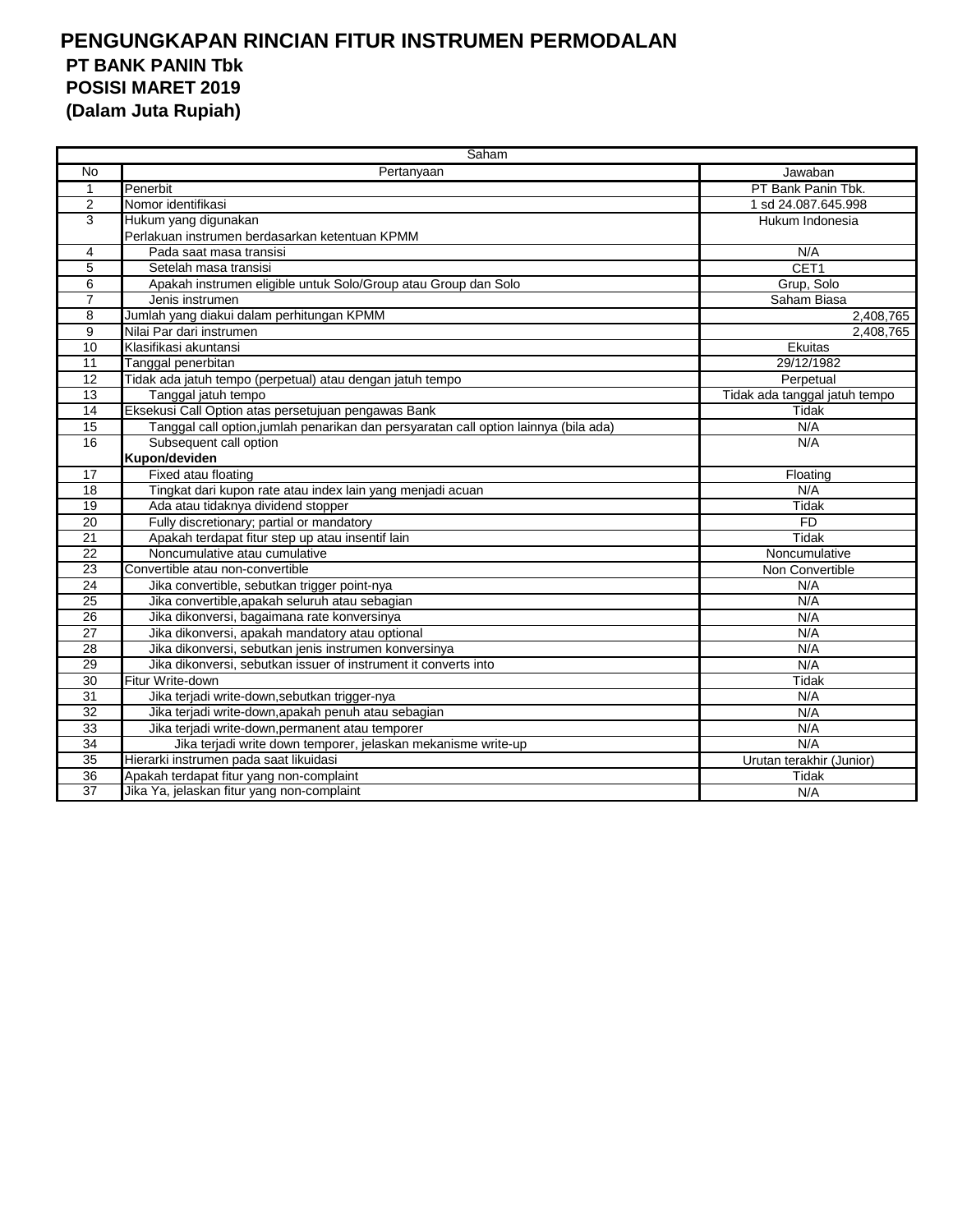|                 | Saham                                                                                |                               |  |  |  |  |
|-----------------|--------------------------------------------------------------------------------------|-------------------------------|--|--|--|--|
| No              | Pertanyaan                                                                           | Jawaban                       |  |  |  |  |
| $\mathbf 1$     | Penerbit                                                                             | PT Bank Panin Tbk.            |  |  |  |  |
| 2               | Nomor identifikasi                                                                   | 1 sd 24.087.645.998           |  |  |  |  |
| 3               | Hukum yang digunakan                                                                 | Hukum Indonesia               |  |  |  |  |
|                 | Perlakuan instrumen berdasarkan ketentuan KPMM                                       |                               |  |  |  |  |
| 4               | Pada saat masa transisi                                                              | N/A                           |  |  |  |  |
| 5               | Setelah masa transisi                                                                | CET1                          |  |  |  |  |
| 6               | Apakah instrumen eligible untuk Solo/Group atau Group dan Solo                       | Grup, Solo                    |  |  |  |  |
| $\overline{7}$  | Jenis instrumen                                                                      | Saham Biasa                   |  |  |  |  |
| 8               | Jumlah yang diakui dalam perhitungan KPMM                                            | 2,408,765                     |  |  |  |  |
| $\overline{9}$  | Nilai Par dari instrumen                                                             | 2,408,765                     |  |  |  |  |
| $\overline{10}$ | Klasifikasi akuntansi                                                                | Ekuitas                       |  |  |  |  |
| 11              | Tanggal penerbitan                                                                   | 29/12/1982                    |  |  |  |  |
| 12              | Tidak ada jatuh tempo (perpetual) atau dengan jatuh tempo                            | Perpetual                     |  |  |  |  |
| 13              | Tanggal jatuh tempo                                                                  | Tidak ada tanggal jatuh tempo |  |  |  |  |
| 14              | Eksekusi Call Option atas persetujuan pengawas Bank                                  | Tidak                         |  |  |  |  |
| $\overline{15}$ | Tanggal call option, jumlah penarikan dan persyaratan call option lainnya (bila ada) | N/A                           |  |  |  |  |
| 16              | Subsequent call option                                                               | N/A                           |  |  |  |  |
|                 | Kupon/deviden                                                                        |                               |  |  |  |  |
| 17              | Fixed atau floating                                                                  | Floating                      |  |  |  |  |
| $\overline{18}$ | Tingkat dari kupon rate atau index lain yang menjadi acuan                           | N/A                           |  |  |  |  |
| $\overline{19}$ | Ada atau tidaknya dividend stopper                                                   | Tidak                         |  |  |  |  |
| 20              | Fully discretionary; partial or mandatory                                            | <b>FD</b>                     |  |  |  |  |
| 21              | Apakah terdapat fitur step up atau insentif lain                                     | Tidak                         |  |  |  |  |
| 22              | Noncumulative atau cumulative                                                        | Noncumulative                 |  |  |  |  |
| 23              | Convertible atau non-convertible                                                     | Non Convertible               |  |  |  |  |
| 24              | Jika convertible, sebutkan trigger point-nya                                         | N/A                           |  |  |  |  |
| 25              | Jika convertible, apakah seluruh atau sebagian                                       | N/A                           |  |  |  |  |
| 26              | Jika dikonversi, bagaimana rate konversinya                                          | N/A                           |  |  |  |  |
| 27              | Jika dikonversi, apakah mandatory atau optional                                      | N/A                           |  |  |  |  |
| 28              | Jika dikonversi, sebutkan jenis instrumen konversinya                                | N/A                           |  |  |  |  |
| 29              | Jika dikonversi, sebutkan issuer of instrument it converts into                      | N/A                           |  |  |  |  |
| 30              | Fitur Write-down                                                                     | Tidak                         |  |  |  |  |
| 31              | Jika terjadi write-down, sebutkan trigger-nya                                        | N/A                           |  |  |  |  |
| $\overline{32}$ | Jika terjadi write-down, apakah penuh atau sebagian                                  | N/A                           |  |  |  |  |
| 33              | Jika terjadi write-down, permanent atau temporer                                     | N/A                           |  |  |  |  |
| 34              | Jika terjadi write down temporer, jelaskan mekanisme write-up                        | N/A                           |  |  |  |  |
| 35              | Hierarki instrumen pada saat likuidasi                                               | Urutan terakhir (Junior)      |  |  |  |  |
| 36              | Apakah terdapat fitur yang non-complaint                                             | Tidak                         |  |  |  |  |
| $\overline{37}$ | Jika Ya, jelaskan fitur yang non-complaint                                           | N/A                           |  |  |  |  |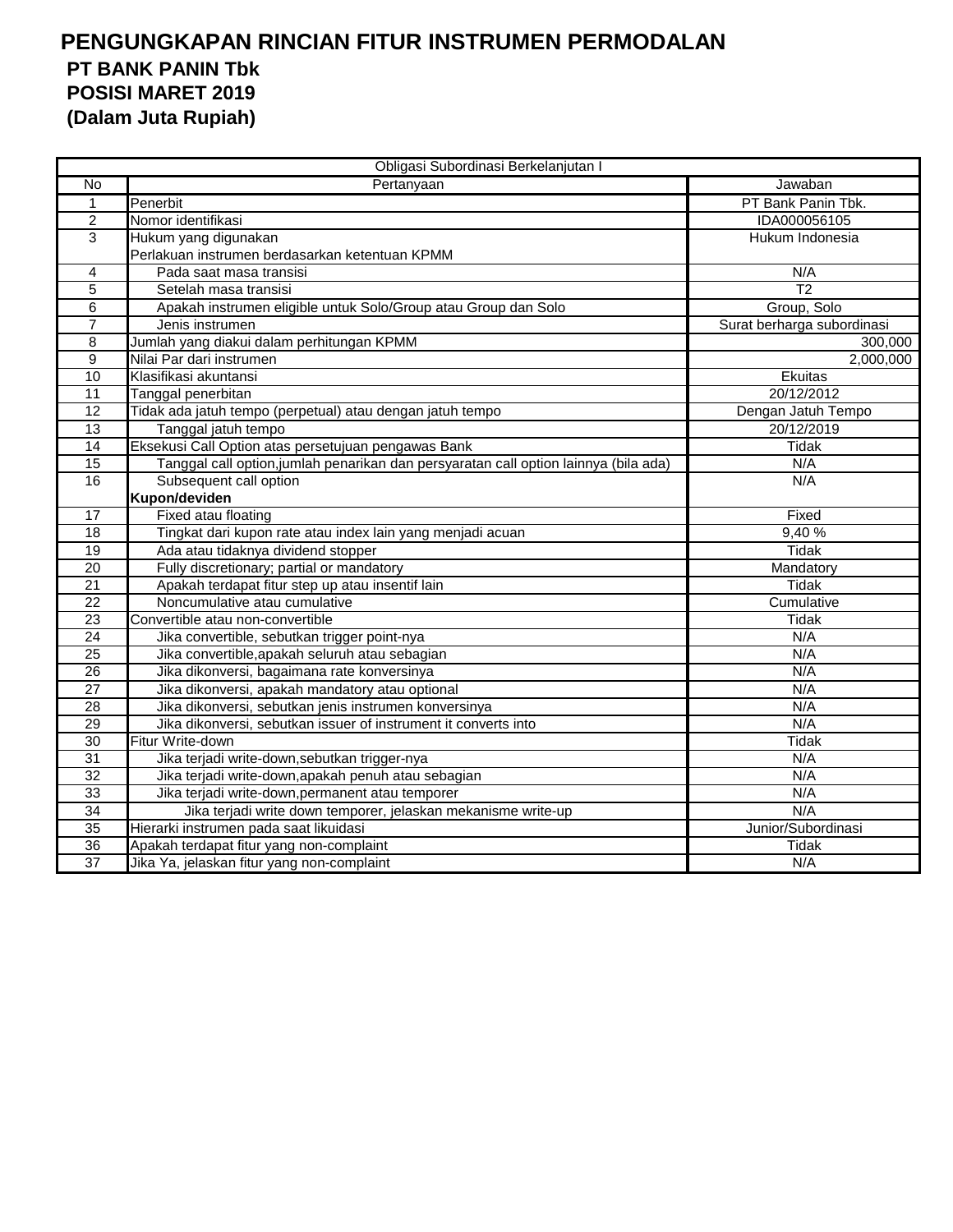|                 | Obligasi Subordinasi Berkelanjutan I                                                 |                            |
|-----------------|--------------------------------------------------------------------------------------|----------------------------|
| <b>No</b>       | Pertanyaan                                                                           | Jawaban                    |
| $\mathbf{1}$    | Penerbit                                                                             | PT Bank Panin Tbk.         |
| $\overline{2}$  | Nomor identifikasi                                                                   | IDA000056105               |
| 3               | Hukum yang digunakan                                                                 | Hukum Indonesia            |
|                 | Perlakuan instrumen berdasarkan ketentuan KPMM                                       |                            |
| 4               | Pada saat masa transisi                                                              | N/A                        |
| 5               | Setelah masa transisi                                                                | $\overline{12}$            |
| $\overline{6}$  | Apakah instrumen eligible untuk Solo/Group atau Group dan Solo                       | Group, Solo                |
| $\overline{7}$  | Jenis instrumen                                                                      | Surat berharga subordinasi |
| 8               | Jumlah yang diakui dalam perhitungan KPMM                                            | 300,000                    |
| 9               | Nilai Par dari instrumen                                                             | 2,000,000                  |
| 10              | Klasifikasi akuntansi                                                                | Ekuitas                    |
| 11              | Tanggal penerbitan                                                                   | 20/12/2012                 |
| 12              | Tidak ada jatuh tempo (perpetual) atau dengan jatuh tempo                            | Dengan Jatuh Tempo         |
| 13              | Tanggal jatuh tempo                                                                  | 20/12/2019                 |
| $\overline{14}$ | Eksekusi Call Option atas persetujuan pengawas Bank                                  | Tidak                      |
| $\overline{15}$ | Tanggal call option, jumlah penarikan dan persyaratan call option lainnya (bila ada) | N/A                        |
| 16              | Subsequent call option                                                               | N/A                        |
|                 | Kupon/deviden                                                                        |                            |
| 17              | Fixed atau floating                                                                  | Fixed                      |
| 18              | Tingkat dari kupon rate atau index lain yang menjadi acuan                           | 9,40%                      |
| 19              | Ada atau tidaknya dividend stopper                                                   | <b>Tidak</b>               |
| 20              | Fully discretionary; partial or mandatory                                            | Mandatory                  |
| $\overline{21}$ | Apakah terdapat fitur step up atau insentif lain                                     | Tidak                      |
| 22              | Noncumulative atau cumulative                                                        | Cumulative                 |
| 23              | Convertible atau non-convertible                                                     | <b>Tidak</b>               |
| $\overline{24}$ | Jika convertible, sebutkan trigger point-nya                                         | N/A                        |
| $\overline{25}$ | Jika convertible, apakah seluruh atau sebagian                                       | N/A                        |
| 26              | Jika dikonversi, bagaimana rate konversinya                                          | N/A                        |
| $\overline{27}$ | Jika dikonversi, apakah mandatory atau optional                                      | N/A                        |
| 28              | Jika dikonversi, sebutkan jenis instrumen konversinya                                | N/A                        |
| 29              | Jika dikonversi, sebutkan issuer of instrument it converts into                      | N/A                        |
| 30              | Fitur Write-down                                                                     | Tidak                      |
| 31              | Jika terjadi write-down, sebutkan trigger-nya                                        | N/A                        |
| $\overline{32}$ | Jika terjadi write-down, apakah penuh atau sebagian                                  | N/A                        |
| 33              | Jika terjadi write-down, permanent atau temporer                                     | N/A                        |
| 34              | Jika terjadi write down temporer, jelaskan mekanisme write-up                        | N/A                        |
| 35              | Hierarki instrumen pada saat likuidasi                                               | Junior/Subordinasi         |
| 36              | Apakah terdapat fitur yang non-complaint                                             | Tidak                      |
| $\overline{37}$ | Jika Ya, jelaskan fitur yang non-complaint                                           | N/A                        |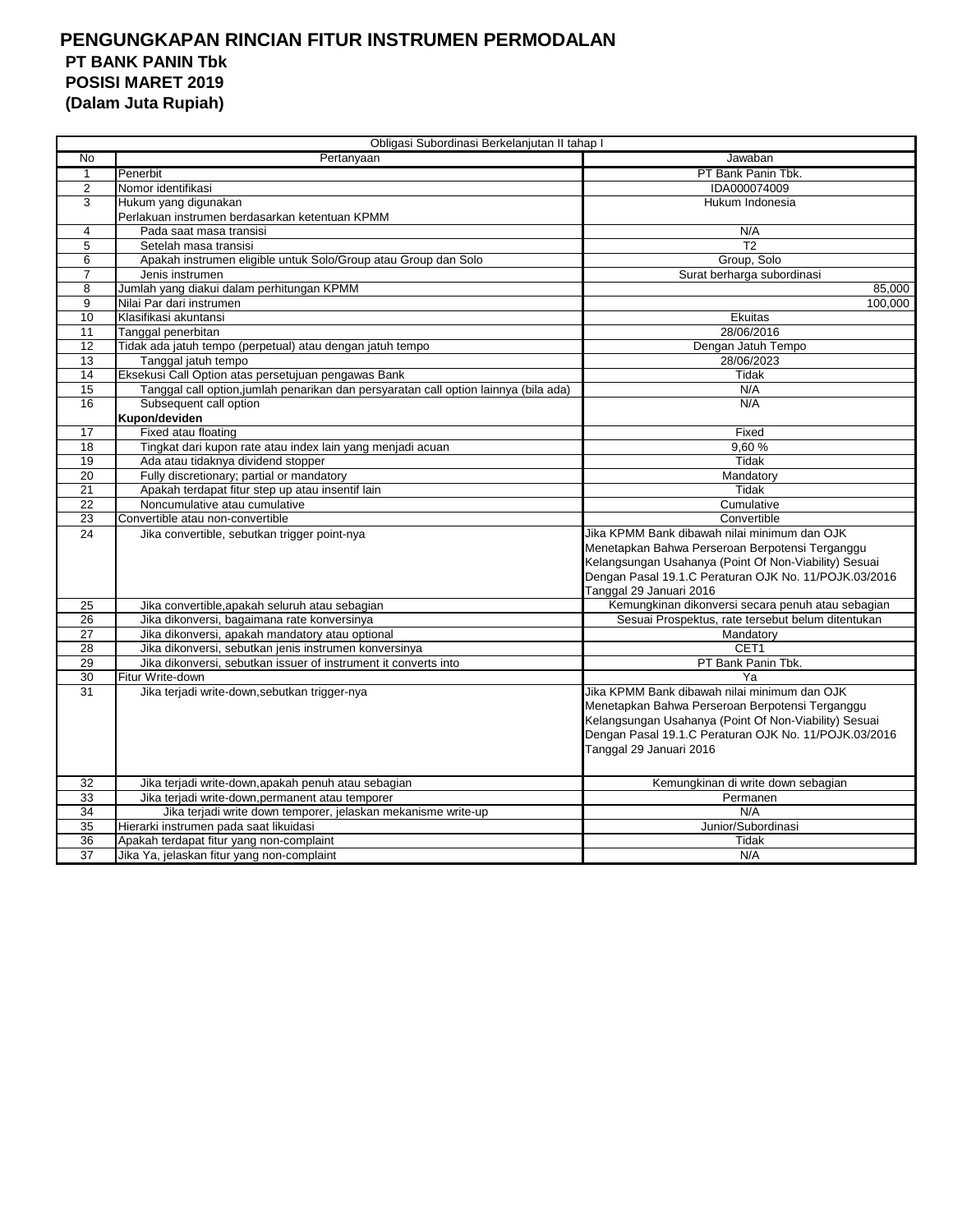|                 | Obligasi Subordinasi Berkelanjutan II tahap I                                        |                                                       |
|-----------------|--------------------------------------------------------------------------------------|-------------------------------------------------------|
| $\overline{N}$  | Pertanyaan                                                                           | Jawaban                                               |
| $\mathbf{1}$    | Penerbit                                                                             | PT Bank Panin Tbk.                                    |
| $\overline{2}$  | Nomor identifikasi                                                                   | IDA000074009                                          |
| 3               | Hukum yang digunakan                                                                 | Hukum Indonesia                                       |
|                 | Perlakuan instrumen berdasarkan ketentuan KPMM                                       |                                                       |
| 4               | Pada saat masa transisi                                                              | N/A                                                   |
| 5               | Setelah masa transisi                                                                | T <sub>2</sub>                                        |
| 6               | Apakah instrumen eligible untuk Solo/Group atau Group dan Solo                       | Group, Solo                                           |
| 7               | Jenis instrumen                                                                      | Surat berharga subordinasi                            |
| 8               | Jumlah yang diakui dalam perhitungan KPMM                                            | 85,000                                                |
| 9               | Nilai Par dari instrumen                                                             | 100.000                                               |
| 10              | Klasifikasi akuntansi                                                                | Ekuitas                                               |
| 11              | Tanggal penerbitan                                                                   | 28/06/2016                                            |
| 12              | Tidak ada jatuh tempo (perpetual) atau dengan jatuh tempo                            | Dengan Jatuh Tempo                                    |
| 13              | Tanggal jatuh tempo                                                                  | 28/06/2023                                            |
| 14              | Eksekusi Call Option atas persetujuan pengawas Bank                                  | Tidak                                                 |
| 15              | Tanggal call option, jumlah penarikan dan persyaratan call option lainnya (bila ada) | N/A                                                   |
| 16              | Subsequent call option                                                               | N/A                                                   |
|                 | Kupon/deviden                                                                        |                                                       |
| 17              | Fixed atau floating                                                                  | Fixed                                                 |
| 18              | Tingkat dari kupon rate atau index lain yang menjadi acuan                           | 9.60%                                                 |
| 19              | Ada atau tidaknya dividend stopper                                                   | Tidak                                                 |
| 20              | Fully discretionary; partial or mandatory                                            | Mandatory                                             |
| 21              | Apakah terdapat fitur step up atau insentif lain                                     | Tidak                                                 |
| 22              | Noncumulative atau cumulative                                                        | Cumulative                                            |
| 23              | Convertible atau non-convertible                                                     | Convertible                                           |
| 24              | Jika convertible, sebutkan trigger point-nya                                         | Jika KPMM Bank dibawah nilai minimum dan OJK          |
|                 |                                                                                      | Menetapkan Bahwa Perseroan Berpotensi Terganggu       |
|                 |                                                                                      | Kelangsungan Usahanya (Point Of Non-Viability) Sesuai |
|                 |                                                                                      | Dengan Pasal 19.1.C Peraturan OJK No. 11/POJK.03/2016 |
|                 |                                                                                      | Tanggal 29 Januari 2016                               |
| 25              | Jika convertible, apakah seluruh atau sebagian                                       | Kemungkinan dikonversi secara penuh atau sebagian     |
| 26              | Jika dikonversi, bagaimana rate konversinya                                          | Sesuai Prospektus, rate tersebut belum ditentukan     |
| $\overline{27}$ | Jika dikonversi, apakah mandatory atau optional                                      | Mandatory                                             |
| 28              | Jika dikonversi, sebutkan jenis instrumen konversinya                                | CET <sub>1</sub>                                      |
| 29              | Jika dikonversi, sebutkan issuer of instrument it converts into                      | PT Bank Panin Tbk.                                    |
| 30              | Fitur Write-down                                                                     | Ya                                                    |
| 31              | Jika terjadi write-down, sebutkan trigger-nya                                        | Jika KPMM Bank dibawah nilai minimum dan OJK          |
|                 |                                                                                      | Menetapkan Bahwa Perseroan Berpotensi Terganggu       |
|                 |                                                                                      | Kelangsungan Usahanya (Point Of Non-Viability) Sesuai |
|                 |                                                                                      | Dengan Pasal 19.1.C Peraturan OJK No. 11/POJK.03/2016 |
|                 |                                                                                      | Tanggal 29 Januari 2016                               |
|                 |                                                                                      |                                                       |
| 32              | Jika terjadi write-down, apakah penuh atau sebagian                                  | Kemungkinan di write down sebagian                    |
| 33              | Jika terjadi write-down, permanent atau temporer                                     | Permanen                                              |
| 34              | Jika terjadi write down temporer, jelaskan mekanisme write-up                        | N/A                                                   |
| 35              | Hierarki instrumen pada saat likuidasi                                               | Junior/Subordinasi                                    |
| 36              | Apakah terdapat fitur yang non-complaint                                             | Tidak                                                 |
| 37              | Jika Ya, jelaskan fitur yang non-complaint                                           | N/A                                                   |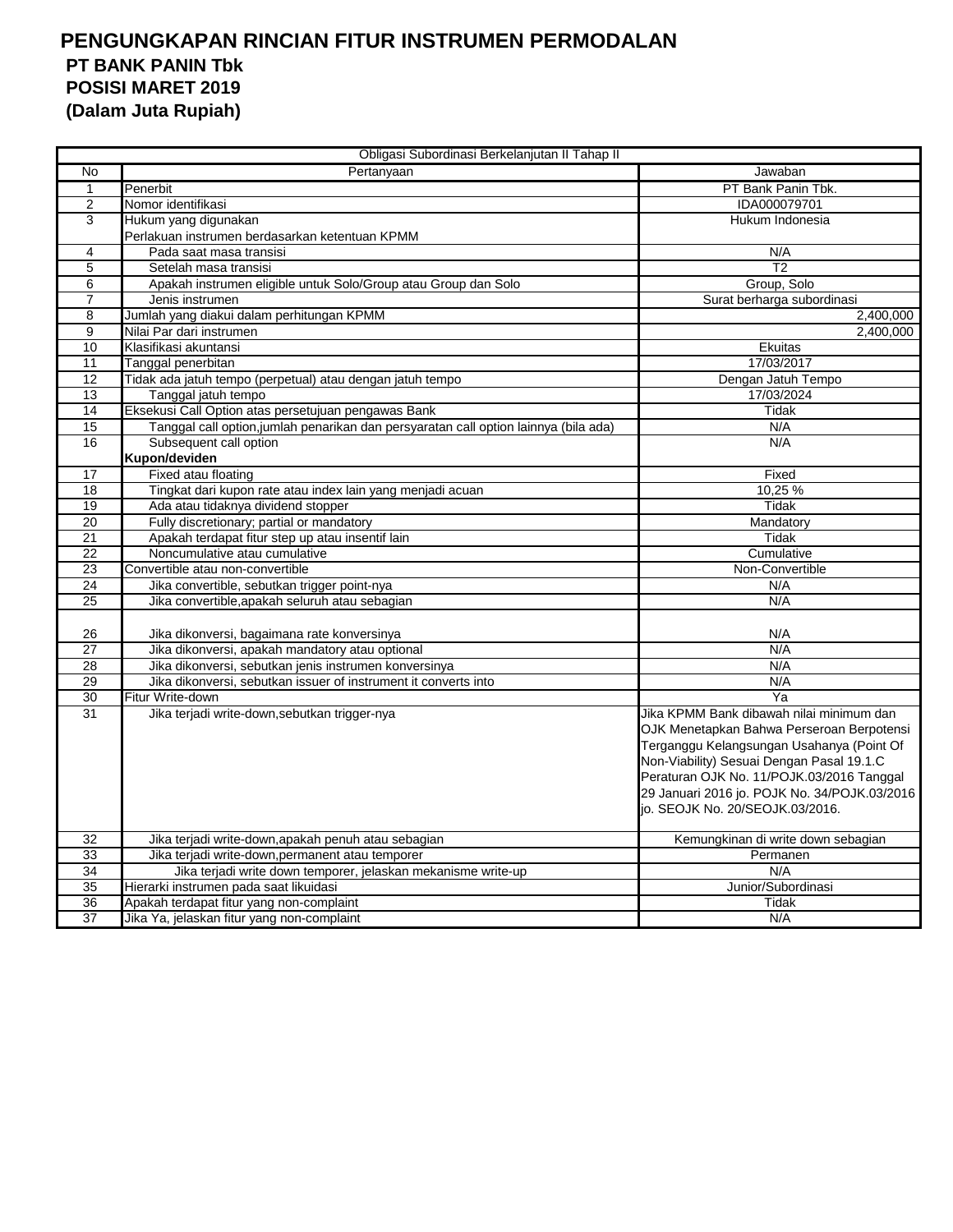| Obligasi Subordinasi Berkelanjutan II Tahap II |                                                                                      |                                                                                                                                                                                                                                                                                                                 |
|------------------------------------------------|--------------------------------------------------------------------------------------|-----------------------------------------------------------------------------------------------------------------------------------------------------------------------------------------------------------------------------------------------------------------------------------------------------------------|
| No                                             | Pertanyaan                                                                           | Jawaban                                                                                                                                                                                                                                                                                                         |
| 1                                              | Penerbit                                                                             | PT Bank Panin Tbk.                                                                                                                                                                                                                                                                                              |
| 2                                              | Nomor identifikasi                                                                   | IDA000079701                                                                                                                                                                                                                                                                                                    |
| 3                                              | Hukum yang digunakan                                                                 | Hukum Indonesia                                                                                                                                                                                                                                                                                                 |
|                                                | Perlakuan instrumen berdasarkan ketentuan KPMM                                       |                                                                                                                                                                                                                                                                                                                 |
| 4                                              | Pada saat masa transisi                                                              | N/A                                                                                                                                                                                                                                                                                                             |
| 5                                              | Setelah masa transisi                                                                | $\overline{12}$                                                                                                                                                                                                                                                                                                 |
| 6                                              | Apakah instrumen eligible untuk Solo/Group atau Group dan Solo                       | Group, Solo                                                                                                                                                                                                                                                                                                     |
| $\overline{7}$                                 | Jenis instrumen                                                                      | Surat berharga subordinasi                                                                                                                                                                                                                                                                                      |
| 8                                              | Jumlah yang diakui dalam perhitungan KPMM                                            | 2,400,000                                                                                                                                                                                                                                                                                                       |
| 9                                              | Nilai Par dari instrumen                                                             | 2,400,000                                                                                                                                                                                                                                                                                                       |
| 10                                             | Klasifikasi akuntansi                                                                | Ekuitas                                                                                                                                                                                                                                                                                                         |
| 11                                             | Tanggal penerbitan                                                                   | 17/03/2017                                                                                                                                                                                                                                                                                                      |
| 12                                             | Tidak ada jatuh tempo (perpetual) atau dengan jatuh tempo                            | Dengan Jatuh Tempo                                                                                                                                                                                                                                                                                              |
| 13                                             | Tanggal jatuh tempo                                                                  | 17/03/2024                                                                                                                                                                                                                                                                                                      |
| 14                                             | Eksekusi Call Option atas persetujuan pengawas Bank                                  | Tidak                                                                                                                                                                                                                                                                                                           |
| $\overline{15}$                                | Tanggal call option, jumlah penarikan dan persyaratan call option lainnya (bila ada) | N/A                                                                                                                                                                                                                                                                                                             |
| 16                                             | Subsequent call option                                                               | N/A                                                                                                                                                                                                                                                                                                             |
|                                                | Kupon/deviden                                                                        |                                                                                                                                                                                                                                                                                                                 |
| 17                                             | Fixed atau floating                                                                  | Fixed                                                                                                                                                                                                                                                                                                           |
| $\overline{18}$                                | Tingkat dari kupon rate atau index lain yang menjadi acuan                           | 10.25 %                                                                                                                                                                                                                                                                                                         |
| 19                                             | Ada atau tidaknya dividend stopper                                                   | Tidak                                                                                                                                                                                                                                                                                                           |
| 20                                             | Fully discretionary; partial or mandatory                                            | Mandatory                                                                                                                                                                                                                                                                                                       |
| 21                                             | Apakah terdapat fitur step up atau insentif lain                                     | Tidak                                                                                                                                                                                                                                                                                                           |
| 22                                             | Noncumulative atau cumulative                                                        | Cumulative                                                                                                                                                                                                                                                                                                      |
| 23                                             | Convertible atau non-convertible                                                     | Non-Convertible                                                                                                                                                                                                                                                                                                 |
| $\overline{24}$                                | Jika convertible, sebutkan trigger point-nya                                         | N/A                                                                                                                                                                                                                                                                                                             |
| $\overline{25}$                                | Jika convertible, apakah seluruh atau sebagian                                       | N/A                                                                                                                                                                                                                                                                                                             |
| 26                                             | Jika dikonversi, bagaimana rate konversinya                                          | N/A                                                                                                                                                                                                                                                                                                             |
| $\overline{27}$                                | Jika dikonversi, apakah mandatory atau optional                                      | N/A                                                                                                                                                                                                                                                                                                             |
| 28                                             | Jika dikonversi, sebutkan jenis instrumen konversinya                                | N/A                                                                                                                                                                                                                                                                                                             |
| 29                                             | Jika dikonversi, sebutkan issuer of instrument it converts into                      | N/A                                                                                                                                                                                                                                                                                                             |
| 30                                             | Fitur Write-down                                                                     | Ya                                                                                                                                                                                                                                                                                                              |
| 31                                             | Jika terjadi write-down, sebutkan trigger-nya                                        | Jika KPMM Bank dibawah nilai minimum dan<br>OJK Menetapkan Bahwa Perseroan Berpotensi<br>Terganggu Kelangsungan Usahanya (Point Of<br>Non-Viability) Sesuai Dengan Pasal 19.1.C<br>Peraturan OJK No. 11/POJK.03/2016 Tanggal<br>29 Januari 2016 jo. POJK No. 34/POJK.03/2016<br>io. SEOJK No. 20/SEOJK.03/2016. |
| 32                                             | Jika terjadi write-down, apakah penuh atau sebagian                                  | Kemungkinan di write down sebagian                                                                                                                                                                                                                                                                              |
| 33                                             | Jika terjadi write-down, permanent atau temporer                                     | Permanen                                                                                                                                                                                                                                                                                                        |
| 34                                             | Jika terjadi write down temporer, jelaskan mekanisme write-up                        | N/A                                                                                                                                                                                                                                                                                                             |
| 35                                             | Hierarki instrumen pada saat likuidasi                                               | Junior/Subordinasi                                                                                                                                                                                                                                                                                              |
| 36                                             | Apakah terdapat fitur yang non-complaint                                             | Tidak                                                                                                                                                                                                                                                                                                           |
| $\overline{37}$                                | Jika Ya, jelaskan fitur yang non-complaint                                           | N/A                                                                                                                                                                                                                                                                                                             |